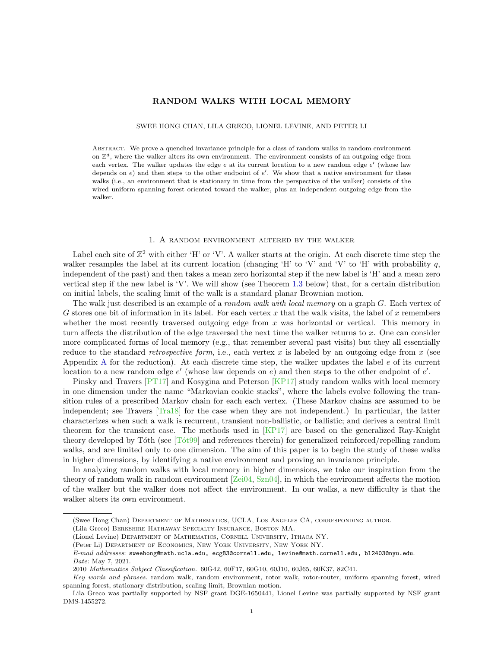# RANDOM WALKS WITH LOCAL MEMORY

SWEE HONG CHAN, LILA GRECO, LIONEL LEVINE, AND PETER LI

Abstract. We prove a quenched invariance principle for a class of random walks in random environment on  $\mathbb{Z}^d$ , where the walker alters its own environment. The environment consists of an outgoing edge from each vertex. The walker updates the edge  $e$  at its current location to a new random edge  $e'$  (whose law depends on  $e$ ) and then steps to the other endpoint of  $e'$ . We show that a native environment for these walks (i.e., an environment that is stationary in time from the perspective of the walker) consists of the wired uniform spanning forest oriented toward the walker, plus an independent outgoing edge from the walker.

## 1. A random environment altered by the walker

<span id="page-0-0"></span>Label each site of  $\mathbb{Z}^2$  with either 'H' or 'V'. A walker starts at the origin. At each discrete time step the walker resamples the label at its current location (changing 'H' to 'V' and 'V' to 'H' with probability q, independent of the past) and then takes a mean zero horizontal step if the new label is 'H' and a mean zero vertical step if the new label is 'V'. We will show (see Theorem [1.3](#page-1-0) below) that, for a certain distribution on initial labels, the scaling limit of the walk is a standard planar Brownian motion.

The walk just described is an example of a *random walk with local memory* on a graph G. Each vertex of G stores one bit of information in its label. For each vertex x that the walk visits, the label of x remembers whether the most recently traversed outgoing edge from  $x$  was horizontal or vertical. This memory in turn affects the distribution of the edge traversed the next time the walker returns to x. One can consider more complicated forms of local memory (e.g., that remember several past visits) but they all essentially reduce to the standard retrospective form, i.e., each vertex  $x$  is labeled by an outgoing edge from  $x$  (see Appendix [A](#page-20-0) for the reduction). At each discrete time step, the walker updates the label e of its current location to a new random edge  $e'$  (whose law depends on  $e$ ) and then steps to the other endpoint of  $e'$ .

Pinsky and Travers [\[PT17\]](#page-20-1) and Kosygina and Peterson [\[KP17\]](#page-20-2) study random walks with local memory in one dimension under the name "Markovian cookie stacks", where the labels evolve following the transition rules of a prescribed Markov chain for each each vertex. (These Markov chains are assumed to be independent; see Travers [\[Tra18\]](#page-20-3) for the case when they are not independent.) In particular, the latter characterizes when such a walk is recurrent, transient non-ballistic, or ballistic; and derives a central limit theorem for the transient case. The methods used in [\[KP17\]](#page-20-2) are based on the generalized Ray-Knight theory developed by Tôth (see  $[T\acute{o}t99]$  and references therein) for generalized reinforced/repelling random walks, and are limited only to one dimension. The aim of this paper is to begin the study of these walks in higher dimensions, by identifying a native environment and proving an invariance principle.

In analyzing random walks with local memory in higher dimensions, we take our inspiration from the theory of random walk in random environment  $[Zei04, Szn04]$  $[Zei04, Szn04]$ , in which the environment affects the motion of the walker but the walker does not affect the environment. In our walks, a new difficulty is that the walker alters its own environment.

<sup>(</sup>Swee Hong Chan) Department of Mathematics, UCLA, Los Angeles CA, corresponding author.

<sup>(</sup>Lila Greco) Berkshire Hathaway Specialty Insurance, Boston MA.

<sup>(</sup>Lionel Levine) Department of Mathematics, Cornell University, Ithaca NY.

<sup>(</sup>Peter Li) Department of Economics, New York University, New York NY.

E-mail addresses: sweehong@math.ucla.edu, ecg83@cornell.edu, levine@math.cornell.edu, bl2403@nyu.edu. Date: May 7, 2021.

<sup>2010</sup> Mathematics Subject Classification. 60G42, 60F17, 60G10, 60J10, 60J65, 60K37, 82C41.

Key words and phrases. random walk, random environment, rotor walk, rotor-router, uniform spanning forest, wired spanning forest, stationary distribution, scaling limit, Brownian motion.

Lila Greco was partially supported by NSF grant DGE-1650441, Lionel Levine was partially supported by NSF grant DMS-1455272.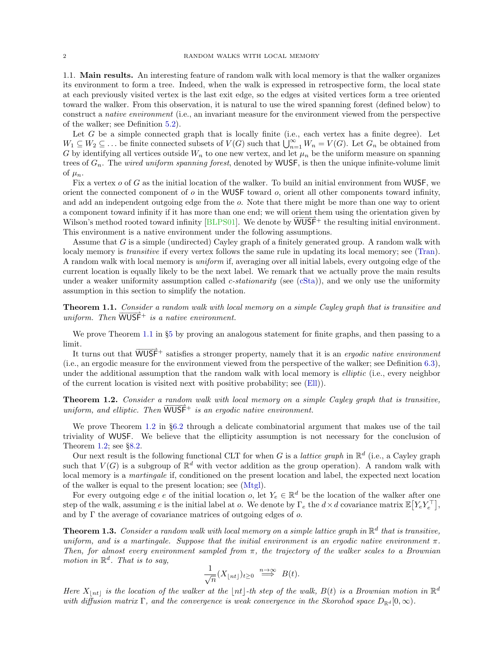1.1. Main results. An interesting feature of random walk with local memory is that the walker organizes its environment to form a tree. Indeed, when the walk is expressed in retrospective form, the local state at each previously visited vertex is the last exit edge, so the edges at visited vertices form a tree oriented toward the walker. From this observation, it is natural to use the wired spanning forest (defined below) to construct a native environment (i.e., an invariant measure for the environment viewed from the perspective of the walker; see Definition [5.2\)](#page-14-0).

Let  $G$  be a simple connected graph that is locally finite (i.e., each vertex has a finite degree). Let  $W_1 \subseteq W_2 \subseteq \ldots$  be finite connected subsets of  $V(G)$  such that  $\bigcup_{n=1}^{\infty} W_n = V(G)$ . Let  $G_n$  be obtained from G by identifying all vertices outside  $W_n$  to one new vertex, and let  $\mu_n$  be the uniform measure on spanning trees of  $G_n$ . The *wired uniform spanning forest*, denoted by WUSF, is then the unique infinite-volume limit of  $\mu_n$ .

Fix a vertex o of G as the initial location of the walker. To build an initial environment from WUSF, we orient the connected component of  $o$  in the WUSF toward  $o$ , orient all other components toward infinity, and add an independent outgoing edge from the o. Note that there might be more than one way to orient a component toward infinity if it has more than one end; we will orient them using the orientation given by Wilson's method rooted toward infinity [\[BLPS01\]](#page-19-0). We denote by  $\overline{\text{WUSE}}^+$  the resulting initial environment. This environment is a native environment under the following assumptions.

Assume that G is a simple (undirected) Cayley graph of a finitely generated group. A random walk with localy memory is *transitive* if every vertex follows the same rule in updating its local memory; see [\(Tran\)](#page-13-0). A random walk with local memory is uniform if, averaging over all initial labels, every outgoing edge of the current location is equally likely to be the next label. We remark that we actually prove the main results under a weaker uniformity assumption called  $c\text{-}stationarity$  (see [\(cSta\)](#page-13-1)), and we only use the uniformity assumption in this section to simplify the notation.

<span id="page-1-1"></span>**Theorem 1.1.** Consider a random walk with local memory on a simple Cayley graph that is transitive and uniform. Then  $\overline{WUSF}^+$  is a native environment.

We prove Theorem [1.1](#page-1-1) in §[5](#page-13-2) by proving an analogous statement for finite graphs, and then passing to a limit.

It turns out that  $\overrightarrow{WUSF}^+$  satisfies a stronger property, namely that it is an *ergodic native environment* (i.e., an ergodic measure for the environment viewed from the perspective of the walker; see Definition [6.3\)](#page-16-0), under the additional assumption that the random walk with local memory is *elliptic* (i.e., every neighbor of the current location is visited next with positive probability; see [\(Ell\)](#page-16-1)).

<span id="page-1-2"></span>Theorem 1.2. Consider a random walk with local memory on a simple Cayley graph that is transitive, uniform, and elliptic. Then  $\overline{WUSF}^+$  is an ergodic native environment.

We prove Theorem [1.2](#page-1-2) in §[6.2](#page-16-2) through a delicate combinatorial argument that makes use of the tail triviality of WUSF. We believe that the ellipticity assumption is not necessary for the conclusion of Theorem [1.2;](#page-1-2) see §[8.2.](#page-19-1)

Our next result is the following functional CLT for when G is a *lattice graph* in  $\mathbb{R}^d$  (i.e., a Cayley graph such that  $V(G)$  is a subgroup of  $\mathbb{R}^d$  with vector addition as the group operation). A random walk with local memory is a martingale if, conditioned on the present location and label, the expected next location of the walker is equal to the present location; see [\(Mtgl\)](#page-7-0).

For every outgoing edge e of the initial location o, let  $Y_e \in \mathbb{R}^d$  be the location of the walker after one step of the walk, assuming e is the initial label at o. We denote by  $\Gamma_e$  the  $d \times d$  covariance matrix  $\mathbb{E}\left[Y_eY_e^\top\right]$ , and by  $\Gamma$  the average of covariance matrices of outgoing edges of  $o$ .

<span id="page-1-0"></span>**Theorem 1.3.** Consider a random walk with local memory on a simple lattice graph in  $\mathbb{R}^d$  that is transitive, uniform, and is a martingale. Suppose that the initial environment is an ergodic native environment  $\pi$ . Then, for almost every environment sampled from  $\pi$ , the trajectory of the walker scales to a Brownian motion in  $\mathbb{R}^d$ . That is to say,

$$
\frac{1}{\sqrt{n}}(X_{\lfloor nt \rfloor})_{t \ge 0} \stackrel{n \to \infty}{\implies} B(t).
$$

Here  $X_{\lfloor nt \rfloor}$  is the location of the walker at the  $\lfloor nt \rfloor$ -th step of the walk,  $B(t)$  is a Brownian motion in  $\mathbb{R}^d$ with diffusion matrix Γ, and the convergence is weak convergence in the Skorohod space  $D_{\mathbb{R}^d}[0,\infty)$ .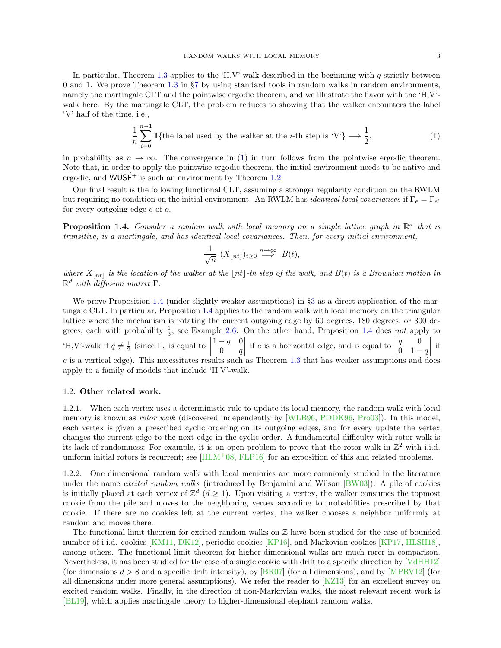In particular, Theorem [1.3](#page-1-0) applies to the 'H,V'-walk described in the beginning with  $q$  strictly between 0 and 1. We prove Theorem [1.3](#page-1-0) in §[7](#page-17-0) by using standard tools in random walks in random environments, namely the martingale CLT and the pointwise ergodic theorem, and we illustrate the flavor with the 'H,V' walk here. By the martingale CLT, the problem reduces to showing that the walker encounters the label 'V' half of the time, i.e.,

<span id="page-2-0"></span>
$$
\frac{1}{n}\sum_{i=0}^{n-1} \mathbb{1}\{\text{the label used by the walker at the }i\text{-th step is 'V'}\} \longrightarrow \frac{1}{2},\tag{1}
$$

in probability as  $n \to \infty$ . The convergence in [\(1\)](#page-2-0) in turn follows from the pointwise ergodic theorem. Note that, in order to apply the pointwise ergodic theorem, the initial environment needs to be native and ergodic, and  $\overrightarrow{WUSF}$ <sup>+</sup> is such an environment by Theorem [1.2.](#page-1-2)

Our final result is the following functional CLT, assuming a stronger regularity condition on the RWLM but requiring no condition on the initial environment. An RWLM has *identical local covariances* if  $\Gamma_e = \Gamma_{e'}$ for every outgoing edge e of o.

<span id="page-2-1"></span>**Proposition 1.4.** Consider a random walk with local memory on a simple lattice graph in  $\mathbb{R}^d$  that is transitive, is a martingale, and has identical local covariances. Then, for every initial environment,

$$
\frac{1}{\sqrt{n}} (X_{\lfloor nt \rfloor})_{t \ge 0} \stackrel{n \to \infty}{\implies} B(t),
$$

where  $X_{\lfloor nt \rfloor}$  is the location of the walker at the  $\lfloor nt \rfloor$ -th step of the walk, and  $B(t)$  is a Brownian motion in  $\mathbb{R}^d$  with diffusion matrix  $\Gamma$ .

We prove Proposition [1.4](#page-2-1) (under slightly weaker assumptions) in §[3](#page-6-0) as a direct application of the martingale CLT. In particular, Proposition [1.4](#page-2-1) applies to the random walk with local memory on the triangular lattice where the mechanism is rotating the current outgoing edge by 60 degrees, 180 degrees, or 300 degrees, each with probability  $\frac{1}{3}$ ; see Example [2.6.](#page-6-1) On the other hand, Proposition [1.4](#page-2-1) does not apply to 'H,V'-walk if  $q \neq \frac{1}{2}$  (since  $\Gamma_e$  is equal to  $\begin{bmatrix} 1-q & 0 \\ 0 & q \end{bmatrix}$  $0 \qquad q$ if e is a horizontal edge, and is equal to  $\begin{bmatrix} q & 0 \\ 0 & 1 \end{bmatrix}$  $0 \quad 1 - q$  $\Big]$  if e is a vertical edge). This necessitates results such as Theorem [1.3](#page-1-0) that has weaker assumptions and does apply to a family of models that include 'H,V'-walk.

# 1.2. Other related work.

1.2.1. When each vertex uses a deterministic rule to update its local memory, the random walk with local memory is known as *rotor walk* (discovered independently by [\[WLB96,](#page-20-7) [PDDK96,](#page-20-8) [Pro03\]](#page-20-9)). In this model, each vertex is given a prescribed cyclic ordering on its outgoing edges, and for every update the vertex changes the current edge to the next edge in the cyclic order. A fundamental difficulty with rotor walk is its lack of randomness: For example, it is an open problem to prove that the rotor walk in  $\mathbb{Z}^2$  with i.i.d. uniform initial rotors is recurrent; see  $[HLM^+08, FLP16]$  $[HLM^+08, FLP16]$  for an exposition of this and related problems.

1.2.2. One dimensional random walk with local memories are more commonly studied in the literature under the name *excited random walks* (introduced by Benjamini and Wilson [\[BW03\]](#page-19-4)): A pile of cookies is initially placed at each vertex of  $\mathbb{Z}^d$   $(d \geq 1)$ . Upon visiting a vertex, the walker consumes the topmost cookie from the pile and moves to the neighboring vertex according to probabilities prescribed by that cookie. If there are no cookies left at the current vertex, the walker chooses a neighbor uniformly at random and moves there.

The functional limit theorem for excited random walks on  $\mathbb Z$  have been studied for the case of bounded number of i.i.d. cookies [\[KM11,](#page-19-5) [DK12\]](#page-19-6), periodic cookies [\[KP16\]](#page-20-10), and Markovian cookies [\[KP17,](#page-20-2) [HLSH18\]](#page-19-7), among others. The functional limit theorem for higher-dimensional walks are much rarer in comparison. Nevertheless, it has been studied for the case of a single cookie with drift to a specific direction by [\[VdHH12\]](#page-20-11) (for dimensions  $d > 8$  and a specific drift intensity), by [\[BR07\]](#page-19-8) (for all dimensions), and by [\[MPRV12\]](#page-20-12) (for all dimensions under more general assumptions). We refer the reader to  $KZ13$  for an excellent survey on excited random walks. Finally, in the direction of non-Markovian walks, the most relevant recent work is [\[BL19\]](#page-19-9), which applies martingale theory to higher-dimensional elephant random walks.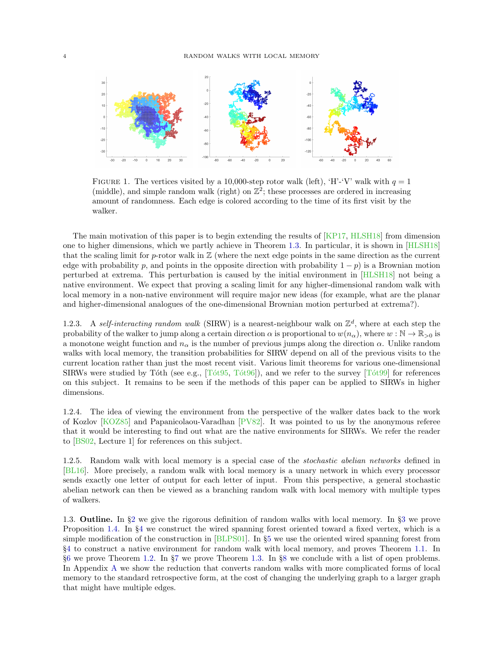

<span id="page-3-0"></span>FIGURE 1. The vertices visited by a 10,000-step rotor walk (left), 'H'-'V' walk with  $q = 1$ (middle), and simple random walk (right) on  $\mathbb{Z}^2$ ; these processes are ordered in increasing amount of randomness. Each edge is colored according to the time of its first visit by the walker.

The main motivation of this paper is to begin extending the results of [\[KP17,](#page-20-2) [HLSH18\]](#page-19-7) from dimension one to higher dimensions, which we partly achieve in Theorem [1.3.](#page-1-0) In particular, it is shown in [\[HLSH18\]](#page-19-7) that the scaling limit for  $p$ -rotor walk in  $\mathbb Z$  (where the next edge points in the same direction as the current edge with probability p, and points in the opposite direction with probability  $1 - p$ ) is a Brownian motion perturbed at extrema. This perturbation is caused by the initial environment in [\[HLSH18\]](#page-19-7) not being a native environment. We expect that proving a scaling limit for any higher-dimensional random walk with local memory in a non-native environment will require major new ideas (for example, what are the planar and higher-dimensional analogues of the one-dimensional Brownian motion perturbed at extrema?).

1.2.3. A self-interacting random walk (SIRW) is a nearest-neighbour walk on  $\mathbb{Z}^d$ , where at each step the probability of the walker to jump along a certain direction  $\alpha$  is proportional to  $w(n_{\alpha})$ , where  $w : \mathbb{N} \to \mathbb{R}_{>0}$  is a monotone weight function and  $n_{\alpha}$  is the number of previous jumps along the direction  $\alpha$ . Unlike random walks with local memory, the transition probabilities for SIRW depend on all of the previous visits to the current location rather than just the most recent visit. Various limit theorems for various one-dimensional SIRWs were studied by Tóth (see e.g.,  $[Tót95, Tót96]$ ), and we refer to the survey  $[Tót99]$  for references on this subject. It remains to be seen if the methods of this paper can be applied to SIRWs in higher dimensions.

1.2.4. The idea of viewing the environment from the perspective of the walker dates back to the work of Kozlov [\[KOZ85\]](#page-20-16) and Papanicolaou-Varadhan [\[PV82\]](#page-20-17). It was pointed to us by the anonymous referee that it would be interesting to find out what are the native environments for SIRWs. We refer the reader to [\[BS02,](#page-19-10) Lecture 1] for references on this subject.

1.2.5. Random walk with local memory is a special case of the stochastic abelian networks defined in [\[BL16\]](#page-19-11). More precisely, a random walk with local memory is a unary network in which every processor sends exactly one letter of output for each letter of input. From this perspective, a general stochastic abelian network can then be viewed as a branching random walk with local memory with multiple types of walkers.

1.3. Outline. In §[2](#page-4-0) we give the rigorous definition of random walks with local memory. In §[3](#page-6-0) we prove Proposition [1.4.](#page-2-1) In §[4](#page-8-0) we construct the wired spanning forest oriented toward a fixed vertex, which is a simple modification of the construction in [\[BLPS01\]](#page-19-0). In §[5](#page-13-2) we use the oriented wired spanning forest from §[4](#page-8-0) to construct a native environment for random walk with local memory, and proves Theorem [1.1.](#page-1-1) In §[6](#page-15-0) we prove Theorem [1.2.](#page-1-2) In §[7](#page-17-0) we prove Theorem [1.3.](#page-1-0) In §[8](#page-18-0) we conclude with a list of open problems. In Appendix [A](#page-20-0) we show the reduction that converts random walks with more complicated forms of local memory to the standard retrospective form, at the cost of changing the underlying graph to a larger graph that might have multiple edges.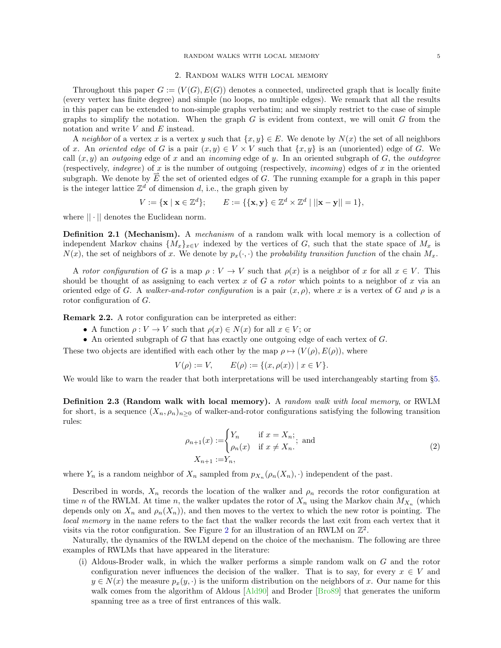## 2. Random walks with local memory

<span id="page-4-0"></span>Throughout this paper  $G := (V(G), E(G))$  denotes a connected, undirected graph that is locally finite (every vertex has finite degree) and simple (no loops, no multiple edges). We remark that all the results in this paper can be extended to non-simple graphs verbatim; and we simply restrict to the case of simple graphs to simplify the notation. When the graph  $G$  is evident from context, we will omit  $G$  from the notation and write  $V$  and  $E$  instead.

A neighbor of a vertex x is a vertex y such that  $\{x, y\} \in E$ . We denote by  $N(x)$  the set of all neighbors of x. An oriented edge of G is a pair  $(x, y) \in V \times V$  such that  $\{x, y\}$  is an (unoriented) edge of G. We call  $(x, y)$  an *outgoing* edge of x and an *incoming* edge of y. In an oriented subgraph of G, the *outdegree* (respectively, *indegree*) of x is the number of outgoing (respectively, *incoming*) edges of x in the oriented subgraph. We denote by  $\overrightarrow{E}$  the set of oriented edges of G. The running example for a graph in this paper is the integer lattice  $\mathbb{Z}^d$  of dimension d, i.e., the graph given by

$$
V := \{ \mathbf{x} \mid \mathbf{x} \in \mathbb{Z}^d \}; \qquad E := \{ \{ \mathbf{x}, \mathbf{y} \} \in \mathbb{Z}^d \times \mathbb{Z}^d \mid ||\mathbf{x} - \mathbf{y}|| = 1 \},
$$

where  $|| \cdot ||$  denotes the Euclidean norm.

<span id="page-4-1"></span>**Definition 2.1 (Mechanism).** A mechanism of a random walk with local memory is a collection of independent Markov chains  $\{M_x\}_{x\in V}$  indexed by the vertices of G, such that the state space of  $M_x$  is  $N(x)$ , the set of neighbors of x. We denote by  $p_x(\cdot, \cdot)$  the probability transition function of the chain  $M_x$ .

A rotor configuration of G is a map  $\rho: V \to V$  such that  $\rho(x)$  is a neighbor of x for all  $x \in V$ . This should be thought of as assigning to each vertex x of G a rotor which points to a neighbor of x via an oriented edge of G. A walker-and-rotor configuration is a pair  $(x, \rho)$ , where x is a vertex of G and  $\rho$  is a rotor configuration of G.

<span id="page-4-4"></span>Remark 2.2. A rotor configuration can be interpreted as either:

- A function  $\rho: V \to V$  such that  $\rho(x) \in N(x)$  for all  $x \in V$ ; or
- An oriented subgraph of G that has exactly one outgoing edge of each vertex of G.

These two objects are identified with each other by the map  $\rho \mapsto (V(\rho), E(\rho))$ , where

 $V(\rho) := V, \qquad E(\rho) := \{(x, \rho(x)) \mid x \in V\}.$ 

We would like to warn the reader that both interpretations will be used interchangeably starting from §[5.](#page-13-2)

<span id="page-4-3"></span>Definition 2.3 (Random walk with local memory). A random walk with local memory, or RWLM for short, is a sequence  $(X_n, \rho_n)_{n>0}$  of walker-and-rotor configurations satisfying the following transition rules:

$$
\rho_{n+1}(x) := \begin{cases} Y_n & \text{if } x = X_n; \\ \rho_n(x) & \text{if } x \neq X_n. \end{cases}
$$
 and 
$$
X_{n+1} := Y_n,
$$
 (2)

<span id="page-4-2"></span>where  $Y_n$  is a random neighbor of  $X_n$  sampled from  $p_{X_n}(\rho_n(X_n), \cdot)$  independent of the past.

Described in words,  $X_n$  records the location of the walker and  $\rho_n$  records the rotor configuration at time n of the RWLM. At time n, the walker updates the rotor of  $X_n$  using the Markov chain  $M_{X_n}$  (which depends only on  $X_n$  and  $\rho_n(X_n)$ , and then moves to the vertex to which the new rotor is pointing. The local memory in the name refers to the fact that the walker records the last exit from each vertex that it visits via the rotor configuration. See Figure [2](#page-5-0) for an illustration of an RWLM on  $\mathbb{Z}^2$ .

Naturally, the dynamics of the RWLM depend on the choice of the mechanism. The following are three examples of RWLMs that have appeared in the literature:

(i) Aldous-Broder walk, in which the walker performs a simple random walk on G and the rotor configuration never influences the decision of the walker. That is to say, for every  $x \in V$  and  $y \in N(x)$  the measure  $p_x(y, \cdot)$  is the uniform distribution on the neighbors of x. Our name for this walk comes from the algorithm of Aldous [\[Ald90\]](#page-19-12) and Broder [\[Bro89\]](#page-19-13) that generates the uniform spanning tree as a tree of first entrances of this walk.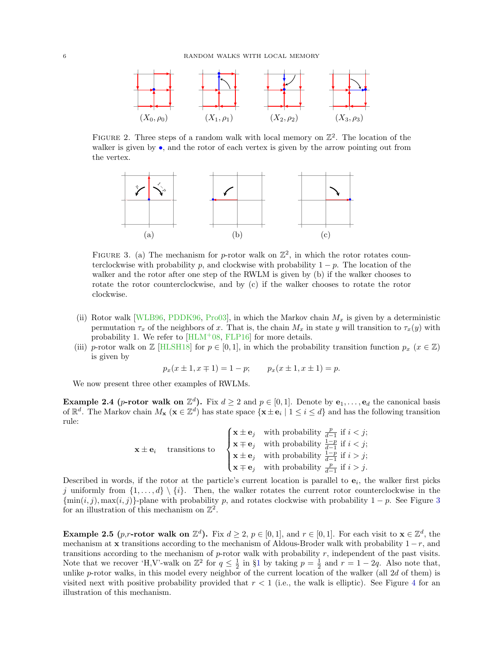

<span id="page-5-0"></span>FIGURE 2. Three steps of a random walk with local memory on  $\mathbb{Z}^2$ . The location of the walker is given by  $\bullet$ , and the rotor of each vertex is given by the arrow pointing out from the vertex.



<span id="page-5-1"></span>FIGURE 3. (a) The mechanism for p-rotor walk on  $\mathbb{Z}^2$ , in which the rotor rotates counterclockwise with probability p, and clockwise with probability  $1 - p$ . The location of the walker and the rotor after one step of the RWLM is given by (b) if the walker chooses to rotate the rotor counterclockwise, and by (c) if the walker chooses to rotate the rotor clockwise.

- (ii) Rotor walk [\[WLB96,](#page-20-7) [PDDK96,](#page-20-8) [Pro03\]](#page-20-9), in which the Markov chain  $M_x$  is given by a deterministic permutation  $\tau_x$  of the neighbors of x. That is, the chain  $M_x$  in state y will transition to  $\tau_x(y)$  with probability 1. We refer to  $\left[\text{HLM}^+08, \text{FLP16}\right]$  for more details.
- (iii) p-rotor walk on  $\mathbb{Z}$  [\[HLSH18\]](#page-19-7) for  $p \in [0, 1]$ , in which the probability transition function  $p_x$  ( $x \in \mathbb{Z}$ ) is given by

$$
p_x(x \pm 1, x \mp 1) = 1 - p;
$$
  $p_x(x \pm 1, x \pm 1) = p.$ 

We now present three other examples of RWLMs.

<span id="page-5-2"></span>**Example 2.4** (*p*-rotor walk on  $\mathbb{Z}^d$ ). Fix  $d \geq 2$  and  $p \in [0, 1]$ . Denote by  $e_1, \ldots, e_d$  the canonical basis of  $\mathbb{R}^d$ . The Markov chain  $M_{\mathbf{x}}$  ( $\mathbf{x} \in \mathbb{Z}^d$ ) has state space  $\{\mathbf{x} \pm \mathbf{e}_i \mid 1 \le i \le d\}$  and has the following transition rule:

> $\mathbf{x} \pm \mathbf{e}_i$  transitions to  $\sqrt{ }$  $\int$  $\overline{\mathcal{L}}$  $\mathbf{x} \pm \mathbf{e}_j$  with probability  $\frac{p}{d-1}$  if  $i < j$ ;  $\mathbf{x} \mp \mathbf{e}_j$  with probability  $\frac{1-p}{d-1}$  if  $i < j$ ;  $\mathbf{x} \pm \mathbf{e}_j$  with probability  $\frac{1-p}{d-1}$  if  $i > j$ ;  $\mathbf{x} \mp \mathbf{e}_j$  with probability  $\frac{p}{d-1}$  if  $i > j$ .

Described in words, if the rotor at the particle's current location is parallel to  $e_i$ , the walker first picks j uniformly from  $\{1, \ldots, d\} \setminus \{i\}$ . Then, the walker rotates the current rotor counterclockwise in the  $\{\min(i, j), \max(i, j)\}$ -plane with probability p, and rotates clockwise with probability  $1 - p$ . See Figure [3](#page-5-1) for an illustration of this mechanism on  $\mathbb{Z}^2$ .

<span id="page-5-3"></span>**Example 2.5** (*p*,*r*-rotor walk on  $\mathbb{Z}^d$ ). Fix  $d \geq 2$ ,  $p \in [0,1]$ , and  $r \in [0,1]$ . For each visit to  $\mathbf{x} \in \mathbb{Z}^d$ , the mechanism at x transitions according to the mechanism of Aldous-Broder walk with probability  $1 - r$ , and transitions according to the mechanism of  $p$ -rotor walk with probability  $r$ , independent of the past visits. Note that we recover 'H,V'-walk on  $\mathbb{Z}^2$  for  $q \leq \frac{1}{2}$  $q \leq \frac{1}{2}$  $q \leq \frac{1}{2}$  in §1 by taking  $p = \frac{1}{2}$  and  $r = 1 - 2q$ . Also note that, unlike p-rotor walks, in this model every neighbor of the current location of the walker (all 2d of them) is visited next with positive probability provided that  $r < 1$  (i.e., the walk is elliptic). See Figure [4](#page-6-2) for an illustration of this mechanism.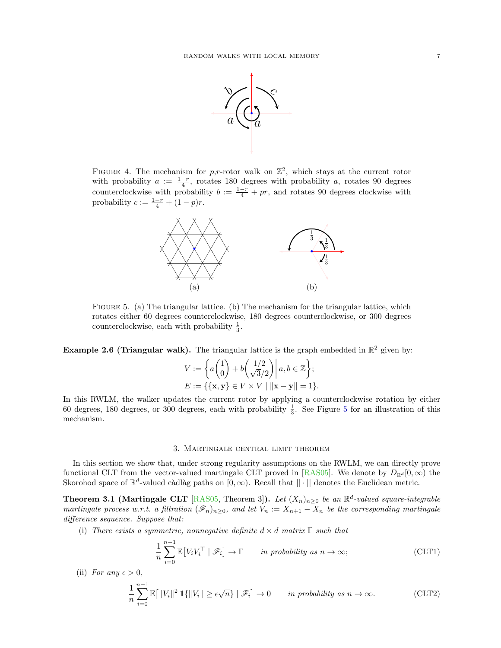

<span id="page-6-2"></span>FIGURE 4. The mechanism for p,r-rotor walk on  $\mathbb{Z}^2$ , which stays at the current rotor with probability  $a := \frac{1-r}{4}$ , rotates 180 degrees with probability a, rotates 90 degrees counterclockwise with probability  $b := \frac{1-r}{4} + pr$ , and rotates 90 degrees clockwise with probability  $c := \frac{1-r}{4} + (1-p)r$ .



<span id="page-6-3"></span>FIGURE 5. (a) The triangular lattice. (b) The mechanism for the triangular lattice, which rotates either 60 degrees counterclockwise, 180 degrees counterclockwise, or 300 degrees counterclockwise, each with probability  $\frac{1}{3}$ .

<span id="page-6-1"></span>**Example 2.6 (Triangular walk).** The triangular lattice is the graph embedded in  $\mathbb{R}^2$  given by:

$$
V := \left\{ a \begin{pmatrix} 1 \\ 0 \end{pmatrix} + b \begin{pmatrix} 1/2 \\ \sqrt{3}/2 \end{pmatrix} \middle| a, b \in \mathbb{Z} \right\};
$$
  

$$
E := \left\{ \{\mathbf{x}, \mathbf{y}\} \in V \times V \mid \|\mathbf{x} - \mathbf{y}\| = 1 \right\}.
$$

In this RWLM, the walker updates the current rotor by applying a counterclockwise rotation by either 60 degrees, 180 degrees, or 300 degrees, each with probability  $\frac{1}{3}$ . See Figure [5](#page-6-3) for an illustration of this mechanism.

#### 3. Martingale central limit theorem

<span id="page-6-0"></span>In this section we show that, under strong regularity assumptions on the RWLM, we can directly prove functional CLT from the vector-valued martingale CLT proved in [\[RAS05\]](#page-20-18). We denote by  $D_{\mathbb{R}^d}[0,\infty)$  the Skorohod space of  $\mathbb{R}^d$ -valued càdlàg paths on  $[0, \infty)$ . Recall that  $|| \cdot ||$  denotes the Euclidean metric.

<span id="page-6-4"></span>**Theorem 3.1 (Martingale CLT** [\[RAS05,](#page-20-18) Theorem 3]). Let  $(X_n)_{n\geq 0}$  be an  $\mathbb{R}^d$ -valued square-integrable martingale process w.r.t. a filtration  $(\mathscr{F}_n)_{n\geq 0}$ , and let  $V_n := X_{n+1} - X_n$  be the corresponding martingale difference sequence. Suppose that:

(i) There exists a symmetric, nonnegative definite  $d \times d$  matrix  $\Gamma$  such that

<span id="page-6-6"></span><span id="page-6-5"></span>
$$
\frac{1}{n} \sum_{i=0}^{n-1} \mathbb{E}\left[V_i V_i^\top \mid \mathscr{F}_i\right] \to \Gamma \qquad \text{in probability as } n \to \infty;\tag{CLT1}
$$

(ii) For any  $\epsilon > 0$ ,

$$
\frac{1}{n}\sum_{i=0}^{n-1} \mathbb{E}\big[\|V_i\|^2 \, \mathbb{1}\{\|V_i\| \ge \epsilon\sqrt{n}\} \mid \mathscr{F}_i\big] \to 0 \qquad \text{in probability as } n \to \infty. \tag{CLT2}
$$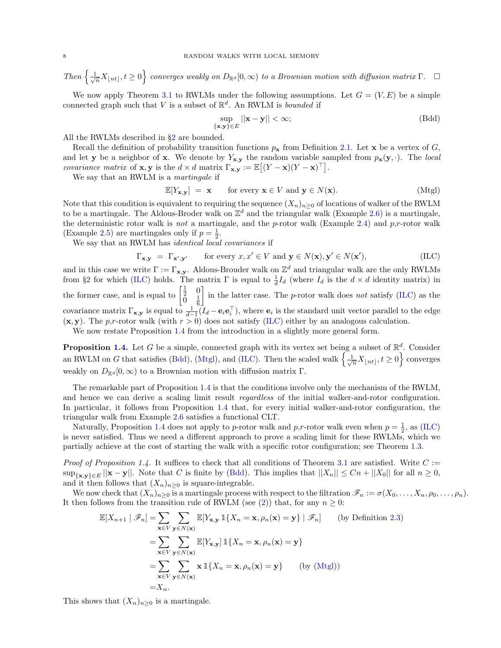Then  $\left\{\frac{1}{\sqrt{n}}X_{\lfloor nt\rfloor}, t\geq 0\right\}$  converges weakly on  $D_{\mathbb{R}^d}[0,\infty)$  to a Brownian motion with diffusion matrix  $\Gamma$ .  $\Box$ 

We now apply Theorem [3.1](#page-6-4) to RWLMs under the following assumptions. Let  $G = (V, E)$  be a simple connected graph such that V is a subset of  $\mathbb{R}^d$ . An RWLM is *bounded* if

<span id="page-7-2"></span><span id="page-7-1"></span><span id="page-7-0"></span>
$$
\sup_{\{\mathbf{x},\mathbf{y}\}\in E} ||\mathbf{x}-\mathbf{y}|| < \infty;
$$
 (Bdd)

All the RWLMs described in §[2](#page-4-0) are bounded.

Recall the definition of probability transition functions  $p_x$  from Definition [2.1.](#page-4-1) Let x be a vertex of G, and let y be a neighbor of x. We denote by  $Y_{\mathbf{x},\mathbf{y}}$  the random variable sampled from  $p_{\mathbf{x}}(\mathbf{y},\cdot)$ . The local *covariance matrix* of **x**, **y** is the  $d \times d$  matrix  $\Gamma_{\mathbf{x},\mathbf{y}} := \mathbb{E}[(Y - \mathbf{x})(Y - \mathbf{x})^{\top}].$ 

We say that an RWLM is a martingale if

$$
\mathbb{E}[Y_{\mathbf{x},\mathbf{y}}] = \mathbf{x} \quad \text{for every } \mathbf{x} \in V \text{ and } \mathbf{y} \in N(\mathbf{x}). \tag{Mtgl}
$$

Note that this condition is equivalent to requiring the sequence  $(X_n)_{n>0}$  of locations of walker of the RWLM to be a martingale. The Aldous-Broder walk on  $\mathbb{Z}^d$  and the triangular walk (Example [2.6\)](#page-6-1) is a martingale, the deterministic rotor walk is not a martingale, and the p-rotor walk (Example [2.4\)](#page-5-2) and p,r-rotor walk (Example [2.5\)](#page-5-3) are martingales only if  $p = \frac{1}{2}$ .

We say that an RWLM has identical local covariances if

$$
\Gamma_{\mathbf{x},\mathbf{y}} = \Gamma_{\mathbf{x}',\mathbf{y}'} \qquad \text{for every } x, x' \in V \text{ and } \mathbf{y} \in N(\mathbf{x}), \mathbf{y}' \in N(\mathbf{x}'), \tag{ILC}
$$

and in this case we write  $\Gamma := \Gamma_{\mathbf{x},\mathbf{y}}$ . Aldous-Brouder walk on  $\mathbb{Z}^d$  and triangular walk are the only RWLMs from §[2](#page-4-0) for which [\(ILC\)](#page-7-1) holds. The matrix  $\Gamma$  is equal to  $\frac{1}{d}I_d$  (where  $I_d$  is the  $d \times d$  identity matrix) in the former case, and is equal to  $\begin{bmatrix} \frac{1}{2} & 0 \\ 0 & 1 \end{bmatrix}$  $\tilde{0}$   $\frac{1}{6}$ in the latter case. The *p*-rotor walk does not satisfy [\(ILC\)](#page-7-1) as the covariance matrix  $\Gamma_{\mathbf{x},\mathbf{y}}$  is equal to  $\frac{1}{d-1}(I_d - \mathbf{e}_i \mathbf{e}_i^{\top})$ , where  $\mathbf{e}_i$  is the standard unit vector parallel to the edge  $(x, y)$ . The p,r-rotor walk (with  $r > 0$ ) does not satisfy [\(ILC\)](#page-7-1) either by an analogous calculation.

We now restate Proposition [1.4](#page-2-1) from the introduction in a slightly more general form.

**Proposition [1.4.](#page-2-1)** Let G be a simple, connected graph with its vertex set being a subset of  $\mathbb{R}^d$ . Consider an RWLM on G that satisfies [\(Bdd\)](#page-7-2), [\(Mtgl\)](#page-7-0), and [\(ILC\)](#page-7-1). Then the scaled walk  $\left\{\frac{1}{\sqrt{n}}X_{\lfloor nt\rfloor}, t\geq 0\right\}$  converges weakly on  $D_{\mathbb{R}^d}[0,\infty)$  to a Brownian motion with diffusion matrix Γ.

The remarkable part of Proposition [1.4](#page-7-1) is that the conditions involve only the mechanism of the RWLM, and hence we can derive a scaling limit result *regardless* of the initial walker-and-rotor configuration. In particular, it follows from Proposition [1.4](#page-7-1) that, for every initial walker-and-rotor configuration, the triangular walk from Example [2.6](#page-6-1) satisfies a functional CLT.

Naturally, Proposition [1.4](#page-7-1) does not apply to p-rotor walk and p,r-rotor walk even when  $p = \frac{1}{2}$ , as [\(ILC\)](#page-7-1) is never satisfied. Thus we need a different approach to prove a scaling limit for these RWLMs, which we partially achieve at the cost of starting the walk with a specific rotor configuration; see Theorem [1.3.](#page-1-0)

*Proof of Proposition [1.4.](#page-7-1)* It suffices to check that all conditions of Theorem [3.1](#page-6-4) are satisfied. Write  $C :=$  $\sup_{\{x,y\}\in E} ||x-y||$ . Note that C is finite by [\(Bdd\)](#page-7-2). This implies that  $||X_n|| \leq Cn + ||X_0||$  for all  $n \geq 0$ , and it then follows that  $(X_n)_{n\geq 0}$  is square-integrable.

We now check that  $(X_n)_{n\geq 0}$  is a martingale process with respect to the filtration  $\mathscr{F}_n := \sigma(X_0, \ldots, X_n, \rho_0, \ldots, \rho_n)$ . It then follows from the transition rule of RWLM (see [\(2\)](#page-4-2)) that, for any  $n \geq 0$ :

$$
\mathbb{E}[X_{n+1} | \mathscr{F}_n] = \sum_{\mathbf{x} \in V} \sum_{\mathbf{y} \in N(\mathbf{x})} \mathbb{E}[Y_{\mathbf{x},\mathbf{y}} \mathbbm{1}\{X_n = \mathbf{x}, \rho_n(\mathbf{x}) = \mathbf{y}\} | \mathscr{F}_n]
$$
 (by Definition 2.3)  
\n
$$
= \sum_{\mathbf{x} \in V} \sum_{\mathbf{y} \in N(\mathbf{x})} \mathbb{E}[Y_{\mathbf{x},\mathbf{y}}] \mathbbm{1}\{X_n = \mathbf{x}, \rho_n(\mathbf{x}) = \mathbf{y}\}
$$
  
\n
$$
= \sum_{\mathbf{x} \in V} \sum_{\mathbf{y} \in N(\mathbf{x})} \mathbf{x} \mathbbm{1}\{X_n = \mathbf{x}, \rho_n(\mathbf{x}) = \mathbf{y}\}
$$
 (by (Mtgl))  
\n
$$
= X_n.
$$

This shows that  $(X_n)_{n\geq 0}$  is a martingale.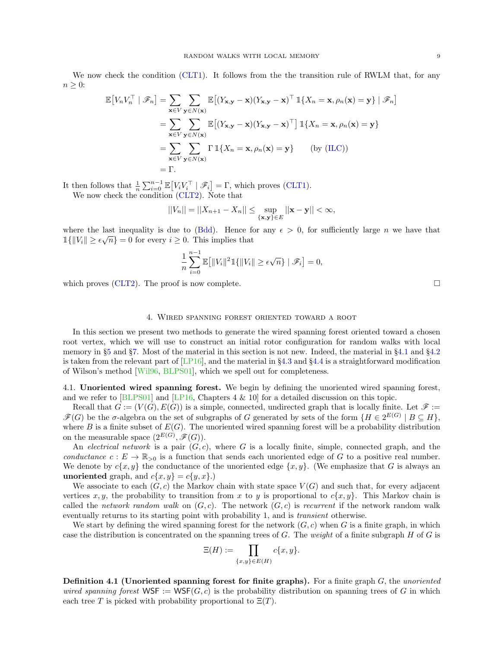We now check the condition [\(CLT1\)](#page-6-5). It follows from the the transition rule of RWLM that, for any  $n \geq 0$ :

$$
\mathbb{E}\left[V_nV_n^{\top} \mid \mathcal{F}_n\right] = \sum_{\mathbf{x}\in V} \sum_{\mathbf{y}\in N(\mathbf{x})} \mathbb{E}\left[(Y_{\mathbf{x},\mathbf{y}} - \mathbf{x})(Y_{\mathbf{x},\mathbf{y}} - \mathbf{x})^{\top} \mathbb{1}\{X_n = \mathbf{x}, \rho_n(\mathbf{x}) = \mathbf{y}\} \mid \mathcal{F}_n\right]
$$
  
\n
$$
= \sum_{\mathbf{x}\in V} \sum_{\mathbf{y}\in N(\mathbf{x})} \mathbb{E}\left[(Y_{\mathbf{x},\mathbf{y}} - \mathbf{x})(Y_{\mathbf{x},\mathbf{y}} - \mathbf{x})^{\top}\right] \mathbb{1}\{X_n = \mathbf{x}, \rho_n(\mathbf{x}) = \mathbf{y}\}
$$
  
\n
$$
= \sum_{\mathbf{x}\in V} \sum_{\mathbf{y}\in N(\mathbf{x})} \Gamma \mathbb{1}\{X_n = \mathbf{x}, \rho_n(\mathbf{x}) = \mathbf{y}\} \qquad \text{(by (ILC))}
$$
  
\n
$$
= \Gamma.
$$

It then follows that  $\frac{1}{n} \sum_{i=0}^{n-1} \mathbb{E}[V_i V_i^{\top} | \mathscr{F}_i] = \Gamma$ , which proves [\(CLT1\)](#page-6-5). We now check the condition [\(CLT2\)](#page-6-6). Note that

$$
||V_n|| = ||X_{n+1} - X_n|| \le \sup_{\{\mathbf{x},\mathbf{y}\}\in E} ||\mathbf{x} - \mathbf{y}|| < \infty,
$$

where the last inequality is due to [\(Bdd\)](#page-7-2). Hence for any  $\epsilon > 0$ , for sufficiently large n we have that  $\mathbb{1}\{\|V_i\| \geq \epsilon\sqrt{n}\} = 0$  for every  $i \geq 0$ . This implies that

$$
\frac{1}{n}\sum_{i=0}^{n-1}\mathbb{E}\big[\|V_i\|^2\mathbb{1}\{\|V_i\|\geq \epsilon\sqrt{n}\}\mid \mathscr{F}_i\big]=0,
$$

which proves [\(CLT2\)](#page-6-6). The proof is now complete.  $\Box$ 

#### 4. Wired spanning forest oriented toward a root

<span id="page-8-0"></span>In this section we present two methods to generate the wired spanning forest oriented toward a chosen root vertex, which we will use to construct an initial rotor configuration for random walks with local memory in §[5](#page-13-2) and §[7.](#page-17-0) Most of the material in this section is not new. Indeed, the material in §[4.1](#page-8-1) and §[4.2](#page-9-0) is taken from the relevant part of  $[LP16]$ , and the material in §[4.3](#page-10-0) and §[4.4](#page-11-0) is a straightforward modification of Wilson's method [\[Wil96,](#page-20-20) [BLPS01\]](#page-19-0), which we spell out for completeness.

<span id="page-8-1"></span>4.1. Unoriented wired spanning forest. We begin by defining the unoriented wired spanning forest, and we refer to [\[BLPS01\]](#page-19-0) and [\[LP16,](#page-20-19) Chapters 4 & 10] for a detailed discussion on this topic.

Recall that  $G := (V(G), E(G))$  is a simple, connected, undirected graph that is locally finite. Let  $\mathscr{F} :=$  $\mathscr{F}(G)$  be the  $\sigma$ -algebra on the set of subgraphs of G generated by sets of the form  $\{H \in 2^{E(G)} \mid B \subseteq H\}$ , where B is a finite subset of  $E(G)$ . The unoriented wired spanning forest will be a probability distribution on the measurable space  $(2^{E(G)}, \mathscr{F}(G))$ .

An electrical network is a pair  $(G, c)$ , where G is a locally finite, simple, connected graph, and the conductance  $c: E \to \mathbb{R}_{>0}$  is a function that sends each unoriented edge of G to a positive real number. We denote by  $c\{x, y\}$  the conductance of the unoriented edge  $\{x, y\}$ . (We emphasize that G is always an unoriented graph, and  $c\{x, y\} = c\{y, x\}$ .

We associate to each  $(G, c)$  the Markov chain with state space  $V(G)$  and such that, for every adjacent vertices x, y, the probability to transition from x to y is proportional to  $c\{x, y\}$ . This Markov chain is called the network random walk on  $(G, c)$ . The network  $(G, c)$  is recurrent if the network random walk eventually returns to its starting point with probability 1, and is *transient* otherwise.

We start by defining the wired spanning forest for the network  $(G, c)$  when G is a finite graph, in which case the distribution is concentrated on the spanning trees of  $G$ . The weight of a finite subgraph  $H$  of  $G$  is

$$
\Xi(H) := \prod_{\{x,y\} \in E(H)} c\{x,y\}.
$$

<span id="page-8-2"></span>**Definition 4.1 (Unoriented spanning forest for finite graphs).** For a finite graph  $G$ , the unoriented wired spanning forest  $WSF := WSF(G, c)$  is the probability distribution on spanning trees of G in which each tree T is picked with probability proportional to  $\Xi(T)$ .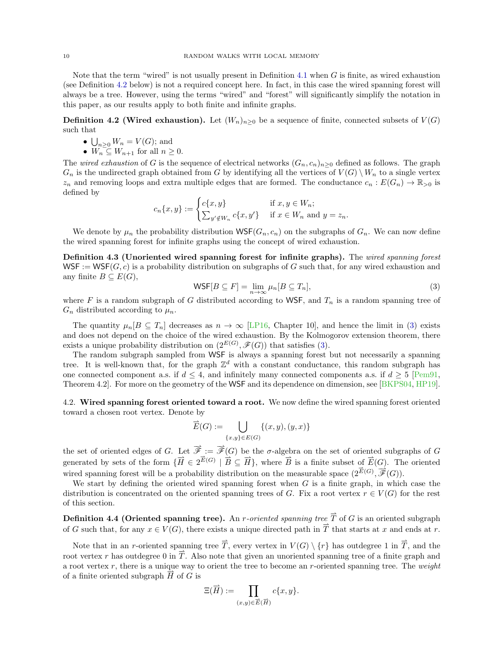Note that the term "wired" is not usually present in Definition [4.1](#page-8-2) when  $G$  is finite, as wired exhaustion (see Definition [4.2](#page-9-1) below) is not a required concept here. In fact, in this case the wired spanning forest will always be a tree. However, using the terms "wired" and "forest" will significantly simplify the notation in this paper, as our results apply to both finite and infinite graphs.

<span id="page-9-1"></span>**Definition 4.2 (Wired exhaustion).** Let  $(W_n)_{n\geq 0}$  be a sequence of finite, connected subsets of  $V(G)$ such that

- $\bigcup_{n\geq 0} W_n = V(G)$ ; and
- $W_n \subseteq W_{n+1}$  for all  $n \geq 0$ .

The wired exhaustion of G is the sequence of electrical networks  $(G_n, c_n)_{n>0}$  defined as follows. The graph  $G_n$  is the undirected graph obtained from G by identifying all the vertices of  $V(G) \setminus W_n$  to a single vertex  $z_n$  and removing loops and extra multiple edges that are formed. The conductance  $c_n : E(G_n) \to \mathbb{R}_{>0}$  is defined by

$$
c_n\{x,y\} := \begin{cases} c\{x,y\} & \text{if } x,y \in W_n; \\ \sum_{y' \notin W_n} c\{x,y'\} & \text{if } x \in W_n \text{ and } y = z_n. \end{cases}
$$

We denote by  $\mu_n$  the probability distribution WSF( $G_n, c_n$ ) on the subgraphs of  $G_n$ . We can now define the wired spanning forest for infinite graphs using the concept of wired exhaustion.

Definition 4.3 (Unoriented wired spanning forest for infinite graphs). The wired spanning forest  $WSF := WSF(G, c)$  is a probability distribution on subgraphs of G such that, for any wired exhaustion and any finite  $B \subseteq E(G)$ ,

<span id="page-9-2"></span>
$$
\text{WSF}[B \subseteq F] = \lim_{n \to \infty} \mu_n[B \subseteq T_n],\tag{3}
$$

where F is a random subgraph of G distributed according to WSF, and  $T_n$  is a random spanning tree of  $G_n$  distributed according to  $\mu_n$ .

The quantity  $\mu_n[B \subseteq T_n]$  decreases as  $n \to \infty$  [\[LP16,](#page-20-19) Chapter 10], and hence the limit in [\(3\)](#page-9-2) exists and does not depend on the choice of the wired exhaustion. By the Kolmogorov extension theorem, there exists a unique probability distribution on  $(2^{E(G)}, \mathscr{F}(G))$  that satisfies [\(3\)](#page-9-2).

The random subgraph sampled from WSF is always a spanning forest but not necessarily a spanning tree. It is well-known that, for the graph  $\mathbb{Z}^d$  with a constant conductance, this random subgraph has one connected component a.s. if  $d \leq 4$ , and infinitely many connected components a.s. if  $d \geq 5$  [\[Pem91,](#page-20-21) Theorem 4.2. For more on the geometry of the WSF and its dependence on dimension, see [\[BKPS04,](#page-19-14) [HP19\]](#page-19-15).

<span id="page-9-0"></span>4.2. Wired spanning forest oriented toward a root. We now define the wired spanning forest oriented toward a chosen root vertex. Denote by

$$
\overrightarrow{E}(G) := \bigcup_{\{x,y\} \in E(G)} \{(x,y),(y,x)\}
$$

the set of oriented edges of G. Let  $\overrightarrow{\mathscr{F}} := \overrightarrow{\mathscr{F}}(G)$  be the  $\sigma$ -algebra on the set of oriented subgraphs of G generated by sets of the form  $\{\overrightarrow{H} \in 2^{\overrightarrow{E}(G)} \mid \overrightarrow{B} \subseteq \overrightarrow{H}\}\$ , where  $\overrightarrow{B}$  is a finite subset of  $\overrightarrow{E}(G)$ . The oriented wired spanning forest will be a probability distribution on the measurable space  $(2^{\vec{E}(G)}, \overrightarrow{\mathscr{F}}(G))$ .

We start by defining the oriented wired spanning forest when  $G$  is a finite graph, in which case the distribution is concentrated on the oriented spanning trees of G. Fix a root vertex  $r \in V(G)$  for the rest of this section.

Definition 4.4 (Oriented spanning tree). An *r*-oriented spanning tree  $\vec{T}$  of G is an oriented subgraph of G such that, for any  $x \in V(G)$ , there exists a unique directed path in  $\overrightarrow{T}$  that starts at x and ends at r.

Note that in an r-oriented spanning tree  $\overline{T}$ , every vertex in  $V(G) \setminus \{r\}$  has outdegree 1 in  $\overline{T}$ , and the root vertex r has outdegree 0 in  $\overrightarrow{T}$ . Also note that given an unoriented spanning tree of a finite graph and a root vertex  $r$ , there is a unique way to orient the tree to become an r-oriented spanning tree. The weight of a finite oriented subgraph  $\overrightarrow{H}$  of G is

$$
\Xi(\overrightarrow{H}) := \prod_{(x,y)\in \overrightarrow{E}(\overrightarrow{H})} c\{x,y\}.
$$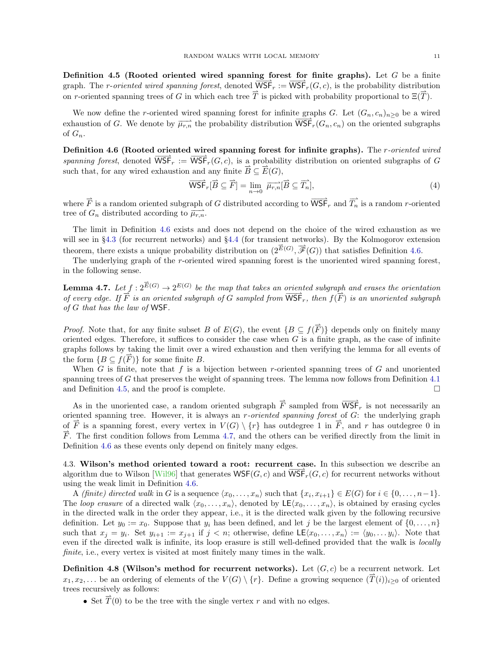<span id="page-10-2"></span>Definition 4.5 (Rooted oriented wired spanning forest for finite graphs). Let  $G$  be a finite graph. The r-oriented wired spanning forest, denoted  $\overrightarrow{\text{WSF}}_r := \overrightarrow{\text{WSF}}_r(G, c)$ , is the probability distribution on r-oriented spanning trees of G in which each tree  $\overrightarrow{T}$  is picked with probability proportional to  $\Xi(\overrightarrow{T})$ .

We now define the r-oriented wired spanning forest for infinite graphs G. Let  $(G_n, c_n)_{n>0}$  be a wired exhaustion of G. We denote by  $\overrightarrow{\mu_{r,n}}$  the probability distribution  $\overrightarrow{\mathsf{WSF}}_r(G_n, c_n)$  on the oriented subgraphs of  $G_n$ .

<span id="page-10-1"></span>Definition 4.6 (Rooted oriented wired spanning forest for infinite graphs). The r-oriented wired spanning forest, denoted  $\overrightarrow{\text{WSF}}_r := \overrightarrow{\text{WSF}}_r(G, c)$ , is a probability distribution on oriented subgraphs of G such that, for any wired exhaustion and any finite  $\overrightarrow{B} \subseteq \overrightarrow{E}(G)$ ,

<span id="page-10-4"></span>
$$
\overrightarrow{\text{WSE}}_{r}[\overrightarrow{B} \subseteq \overrightarrow{F}] = \lim_{n \to 0} \overrightarrow{\mu_{r,n}}[\overrightarrow{B} \subseteq \overrightarrow{T}_{n}], \tag{4}
$$

where  $\vec{F}$  is a random oriented subgraph of G distributed according to  $\overrightarrow{WSP}_r$  and  $\overrightarrow{T}_n$  is a random r-oriented tree of  $G_n$  distributed according to  $\overrightarrow{\mu_{r,n}}$ .

The limit in Definition [4.6](#page-10-1) exists and does not depend on the choice of the wired exhaustion as we will see in §[4.3](#page-10-0) (for recurrent networks) and §[4.4](#page-11-0) (for transient networks). By the Kolmogorov extension theorem, there exists a unique probability distribution on  $(2^{\vec{E}(G)}, \vec{\mathscr{F}}(G))$  that satisfies Definition [4.6.](#page-10-1)

The underlying graph of the r-oriented wired spanning forest is the unoriented wired spanning forest, in the following sense.

<span id="page-10-3"></span>**Lemma 4.7.** Let  $f : 2^{\vec{E}(G)} \to 2^{E(G)}$  be the map that takes an oriented subgraph and erases the orientation of every edge. If  $\overrightarrow{F}$  is an oriented subgraph of G sampled from  $\overrightarrow{WSF}_r$ , then  $f(\overrightarrow{F})$  is an unoriented subgraph of G that has the law of WSF.

*Proof.* Note that, for any finite subset B of  $E(G)$ , the event  $\{B \subseteq f(\overline{F})\}$  depends only on finitely many oriented edges. Therefore, it suffices to consider the case when  $G$  is a finite graph, as the case of infinite graphs follows by taking the limit over a wired exhaustion and then verifying the lemma for all events of the form  $\{B \subseteq f(\overrightarrow{F})\}$  for some finite B.

When  $G$  is finite, note that  $f$  is a bijection between r-oriented spanning trees of  $G$  and unoriented spanning trees of G that preserves the weight of spanning trees. The lemma now follows from Definition [4.1](#page-8-2) and Definition [4.5,](#page-10-2) and the proof is complete.

As in the unoriented case, a random oriented subgraph  $\vec{F}$  sampled from  $\overrightarrow{WSF}_r$  is not necessarily an oriented spanning tree. However, it is always an *r-oriented spanning forest* of  $G$ : the underlying graph of  $\overline{F}$  is a spanning forest, every vertex in  $V(G) \setminus \{r\}$  has outdegree 1 in  $\overline{F}$ , and r has outdegree 0 in  $\overrightarrow{F}$ . The first condition follows from Lemma [4.7,](#page-10-3) and the others can be verified directly from the limit in Definition [4.6](#page-10-1) as these events only depend on finitely many edges.

<span id="page-10-0"></span>4.3. Wilson's method oriented toward a root: recurrent case. In this subsection we describe an algorithm due to Wilson [\[Wil96\]](#page-20-20) that generates  $WSF(G, c)$  and  $WSF<sub>r</sub>(G, c)$  for recurrent networks without using the weak limit in Definition [4.6.](#page-10-1)

A *(finite)* directed walk in G is a sequence  $\langle x_0, \ldots, x_n \rangle$  such that  $\{x_i, x_{i+1}\} \in E(G)$  for  $i \in \{0, \ldots, n-1\}$ . The loop erasure of a directed walk  $\langle x_0, \ldots, x_n \rangle$ , denoted by  $\mathsf{LE}\langle x_0, \ldots, x_n \rangle$ , is obtained by erasing cycles in the directed walk in the order they appear, i.e., it is the directed walk given by the following recursive definition. Let  $y_0 := x_0$ . Suppose that  $y_i$  has been defined, and let j be the largest element of  $\{0, \ldots, n\}$ such that  $x_j = y_i$ . Set  $y_{i+1} := x_{j+1}$  if  $j < n$ ; otherwise, define  $\mathsf{LE}\langle x_0, \ldots, x_n \rangle := \langle y_0, \ldots, y_i \rangle$ . Note that even if the directed walk is infinite, its loop erasure is still well-defined provided that the walk is locally finite, i.e., every vertex is visited at most finitely many times in the walk.

**Definition 4.8 (Wilson's method for recurrent networks).** Let  $(G, c)$  be a recurrent network. Let  $x_1, x_2, \ldots$  be an ordering of elements of the  $V(G) \setminus \{r\}$ . Define a growing sequence  $(\overrightarrow{T}(i))_{i\geq 0}$  of oriented trees recursively as follows:

• Set  $\vec{T}(0)$  to be the tree with the single vertex r and with no edges.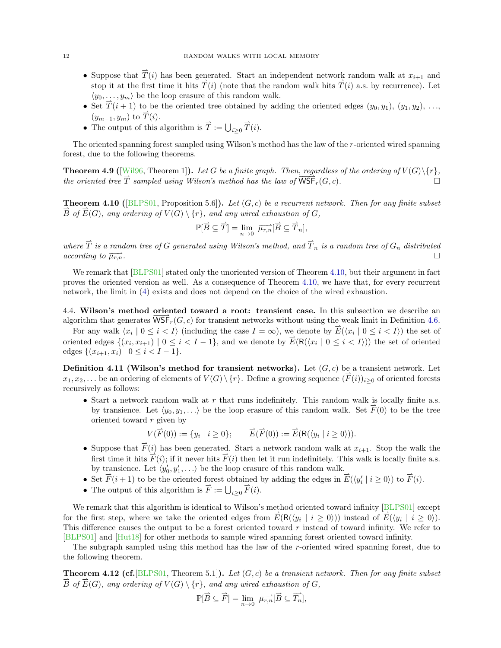- Suppose that  $\vec{T}(i)$  has been generated. Start an independent network random walk at  $x_{i+1}$  and stop it at the first time it hits  $\overrightarrow{T}(i)$  (note that the random walk hits  $\overrightarrow{T}(i)$  a.s. by recurrence). Let  $\langle y_0, \ldots, y_m \rangle$  be the loop erasure of this random walk.
- Set  $\overrightarrow{T}(i+1)$  to be the oriented tree obtained by adding the oriented edges  $(y_0, y_1)$ ,  $(y_1, y_2)$ , ...,  $(y_{m-1}, y_m)$  to  $\overrightarrow{T}(i)$ .
- The output of this algorithm is  $\overrightarrow{T} := \bigcup_{i \geq 0}$  $\overrightarrow{T}(i)$ .

The oriented spanning forest sampled using Wilson's method has the law of the r-oriented wired spanning forest, due to the following theorems.

<span id="page-11-4"></span>**Theorem 4.9** ([\[Wil96,](#page-20-20) Theorem 1]). Let G be a finite graph. Then, regardless of the ordering of  $V(G)\$ <sub>{r}</sub>, the oriented tree  $\overrightarrow{T}$  sampled using Wilson's method has the law of  $\overrightarrow{WSF}_{r}(G, c)$ .

<span id="page-11-1"></span>**Theorem 4.10** ([\[BLPS01,](#page-19-0) Proposition 5.6]). Let  $(G, c)$  be a recurrent network. Then for any finite subset  $\overrightarrow{B}$  of  $\overrightarrow{E}(G)$ , any ordering of  $V(G) \setminus \{r\}$ , and any wired exhaustion of G,

$$
\mathbb{P}[\overrightarrow{B} \subseteq \overrightarrow{T}] = \lim_{n \to 0} \overrightarrow{\mu_{r,n}}[\overrightarrow{B} \subseteq \overrightarrow{T}_n],
$$

where  $\overrightarrow{T}$  is a random tree of G generated using Wilson's method, and  $\overrightarrow{T}_n$  is a random tree of  $G_n$  distributed  $\alpha$  according to  $\overrightarrow{\mu_{r,n}}$ .

We remark that [\[BLPS01\]](#page-19-0) stated only the unoriented version of Theorem [4.10,](#page-11-1) but their argument in fact proves the oriented version as well. As a consequence of Theorem [4.10,](#page-11-1) we have that, for every recurrent network, the limit in [\(4\)](#page-10-4) exists and does not depend on the choice of the wired exhaustion.

<span id="page-11-0"></span>4.4. Wilson's method oriented toward a root: transient case. In this subsection we describe an algorithm that generates  $\overline{\text{WSF}}_r(G, c)$  for transient networks without using the weak limit in Definition [4.6.](#page-10-1)

For any walk  $\langle x_i | 0 \le i < I \rangle$  (including the case  $I = \infty$ ), we denote by  $\vec{E}(\langle x_i | 0 \le i < I \rangle)$  the set of oriented edges  $\{(x_i, x_{i+1}) \mid 0 \le i < I-1\}$ , and we denote by  $\overrightarrow{E}(R(\langle x_i \mid 0 \le i < I \rangle))$  the set of oriented edges  $\{(x_{i+1}, x_i) | 0 \le i < I-1\}.$ 

<span id="page-11-2"></span>**Definition 4.11 (Wilson's method for transient networks).** Let  $(G, c)$  be a transient network. Let  $x_1, x_2, \ldots$  be an ordering of elements of  $V(G) \setminus \{r\}$ . Define a growing sequence  $(\overrightarrow{F}(i))_{i \geq 0}$  of oriented forests recursively as follows:

• Start a network random walk at  $r$  that runs indefinitely. This random walk is locally finite a.s. by transience. Let  $\langle y_0, y_1, \ldots \rangle$  be the loop erasure of this random walk. Set  $\overrightarrow{F}(0)$  to be the tree oriented toward r given by

$$
V(\vec{F}(0)) := \{y_i \mid i \ge 0\}; \qquad \vec{E}(\vec{F}(0)) := \vec{E}(\mathsf{R}(\langle y_i \mid i \ge 0 \rangle)).
$$

- Suppose that  $\vec{F}(i)$  has been generated. Start a network random walk at  $x_{i+1}$ . Stop the walk the first time it hits  $\overrightarrow{F}(i)$ ; if it never hits  $\overrightarrow{F}(i)$  then let it run indefinitely. This walk is locally finite a.s. by transience. Let  $\langle y'_0, y'_1, \ldots \rangle$  be the loop erasure of this random walk.
- Set  $\vec{F}(i+1)$  to be the oriented forest obtained by adding the edges in  $\vec{E}(\langle y_i' | i \geq 0 \rangle)$  to  $\vec{F}(i)$ .
- The output of this algorithm is  $\vec{F} := \bigcup_{i \geq 0} \vec{F}(i)$ .

We remark that this algorithm is identical to Wilson's method oriented toward infinity [\[BLPS01\]](#page-19-0) except for the first step, where we take the oriented edges from  $\vec{E}(\mathsf{R}(\langle y_i | i \geq 0 \rangle))$  instead of  $\vec{E}(\langle y_i | i \geq 0 \rangle)$ . This difference causes the output to be a forest oriented toward r instead of toward infinity. We refer to [\[BLPS01\]](#page-19-0) and [\[Hut18\]](#page-19-16) for other methods to sample wired spanning forest oriented toward infinity.

The subgraph sampled using this method has the law of the r-oriented wired spanning forest, due to the following theorem.

<span id="page-11-3"></span>**Theorem 4.12 (cf.**[\[BLPS01,](#page-19-0) Theorem 5.1]). Let  $(G, c)$  be a transient network. Then for any finite subset  $\overrightarrow{B}$  of  $\overrightarrow{E}(G)$ , any ordering of  $V(G) \setminus \{r\}$ , and any wired exhaustion of G,

$$
\mathbb{P}[\overrightarrow{B} \subseteq \overrightarrow{F}] = \lim_{n \to 0} \overrightarrow{\mu_{r,n}}[\overrightarrow{B} \subseteq \overrightarrow{T_n}],
$$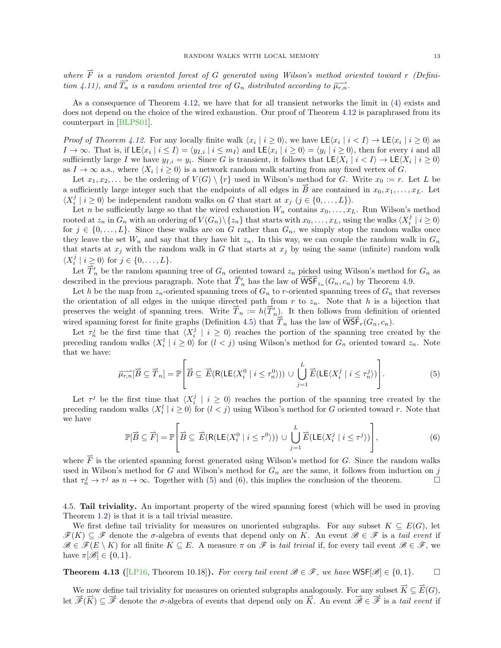where  $\vec{F}$  is a random oriented forest of G generated using Wilson's method oriented toward r (Defini-tion [4.11\)](#page-11-2), and  $\overrightarrow{T_n}$  is a random oriented tree of  $G_n$  distributed according to  $\overrightarrow{\mu_{r,n}}$ .

As a consequence of Theorem [4.12,](#page-11-3) we have that for all transient networks the limit in [\(4\)](#page-10-4) exists and does not depend on the choice of the wired exhaustion. Our proof of Theorem [4.12](#page-11-3) is paraphrased from its counterpart in [\[BLPS01\]](#page-19-0).

Proof of Theorem [4.12.](#page-11-3) For any locally finite walk  $\langle x_i | i \geq 0 \rangle$ , we have  $\mathsf{LE}\langle x_i | i \leq I \rangle \to \mathsf{LE}\langle x_i | i \geq 0 \rangle$  as  $I \to \infty$ . That is, if  $\mathsf{LE}\langle x_i | i \leq I \rangle = \langle y_{I,i} | i \leq m_I \rangle$  and  $\mathsf{LE}\langle x_i | i \geq 0 \rangle = \langle y_i | i \geq 0 \rangle$ , then for every i and all sufficiently large I we have  $y_{I,i} = y_i$ . Since G is transient, it follows that  $\mathsf{LE}\langle X_i \mid i \leq I \rangle \to \mathsf{LE}\langle X_i \mid i \geq 0 \rangle$ as  $I \to \infty$  a.s., where  $\langle X_i | i \geq 0 \rangle$  is a network random walk starting from any fixed vertex of G.

Let  $x_1, x_2, \ldots$  be the ordering of  $V(G) \setminus \{r\}$  used in Wilson's method for G. Write  $x_0 := r$ . Let L be a sufficiently large integer such that the endpoints of all edges in  $\vec{B}$  are contained in  $x_0, x_1, \ldots, x_L$ . Let  $\langle X_i^j \mid i \geq 0 \rangle$  be independent random walks on G that start at  $x_j$   $(j \in \{0, ..., L\})$ .

Let n be sufficiently large so that the wired exhaustion  $W_n$  contains  $x_0, \ldots, x_L$ . Run Wilson's method rooted at  $z_n$  in  $G_n$  with an ordering of  $V(G_n)\setminus\{z_n\}$  that starts with  $x_0, \ldots, x_L$ , using the walks  $\langle X_i^j | i \geq 0 \rangle$ for  $j \in \{0, \ldots, L\}$ . Since these walks are on G rather than  $G_n$ , we simply stop the random walks once they leave the set  $W_n$  and say that they have hit  $z_n$ . In this way, we can couple the random walk in  $G_n$ that starts at  $x_j$  with the random walk in G that starts at  $x_j$  by using the same (infinite) random walk  $\langle X_i^j \mid i \geq 0 \rangle$  for  $j \in \{0, \ldots, L\}.$ 

Let  $\overline{T}_n$  be the random spanning tree of  $G_n$  oriented toward  $z_n$  picked using Wilson's method for  $G_n$  as described in the previous paragraph. Note that  $\overrightarrow{T}'_n$  has the law of  $\overrightarrow{\text{WSE}}_{z_n}(G_n, c_n)$  by Theorem [4.9.](#page-11-4)

Let h be the map from  $z_n$ -oriented spanning trees of  $G_n$  to r-oriented spanning trees of  $G_n$  that reverses the orientation of all edges in the unique directed path from  $r$  to  $z_n$ . Note that  $h$  is a bijection that preserves the weight of spanning trees. Write  $\overrightarrow{T}_n := h(\overrightarrow{T}'_n)$ . It then follows from definition of oriented wired spanning forest for finite graphs (Definition [4.5\)](#page-10-2) that  $\overline{T}_n$  has the law of  $\overline{\text{WSF}}_r(G_n, c_n)$ .

Let  $\tau_n^j$  be the first time that  $\langle X_i^j | i \geq 0 \rangle$  reaches the portion of the spanning tree created by the preceding random walks  $\langle X_i^l | i \geq 0 \rangle$  for  $(l < j)$  using Wilson's method for  $G_n$  oriented toward  $z_n$ . Note that we have:

<span id="page-12-0"></span>
$$
\overrightarrow{\mu_{r,n}}[\overrightarrow{B} \subseteq \overrightarrow{T}_n] = \mathbb{P}\left[\overrightarrow{B} \subseteq \overrightarrow{E}(\mathsf{R}(LE\langle X_i^0 \mid i \leq \tau_n^0 \rangle)) \cup \bigcup_{j=1}^L \overrightarrow{E}(\mathsf{LE}\langle X_i^j \mid i \leq \tau_n^j \rangle)\right].\tag{5}
$$

Let  $\tau^j$  be the first time that  $\langle X_i^j | i \geq 0 \rangle$  reaches the portion of the spanning tree created by the preceding random walks  $\langle X_i^l | i \geq 0 \rangle$  for  $(l < j)$  using Wilson's method for G oriented toward r. Note that we have

<span id="page-12-1"></span>
$$
\mathbb{P}[\overrightarrow{B} \subseteq \overrightarrow{F}] = \mathbb{P}\left[\overrightarrow{B} \subseteq \overrightarrow{E}(R(LE\langle X_i^0 \mid i \leq \tau^0 \rangle)) \cup \bigcup_{j=1}^L \overrightarrow{E}(LE\langle X_i^j \mid i \leq \tau^j \rangle)\right],\tag{6}
$$

where  $\vec{F}$  is the oriented spanning forest generated using Wilson's method for G. Since the random walks used in Wilson's method for  $G$  and Wilson's method for  $G_n$  are the same, it follows from induction on j that  $\tau_n^j \to \tau^j$  as  $n \to \infty$ . Together with [\(5\)](#page-12-0) and [\(6\)](#page-12-1), this implies the conclusion of the theorem.

<span id="page-12-3"></span>4.5. Tail triviality. An important property of the wired spanning forest (which will be used in proving Theorem [1.2\)](#page-1-2) is that it is a tail trivial measure.

We first define tail triviality for measures on unoriented subgraphs. For any subset  $K \subseteq E(G)$ , let  $\mathscr{F}(K) \subseteq \mathscr{F}$  denote the  $\sigma$ -algebra of events that depend only on K. An event  $\mathscr{B} \in \mathscr{F}$  is a tail event if  $\mathscr{B} \in \mathscr{F}(E \setminus K)$  for all finite  $K \subseteq E$ . A measure  $\pi$  on  $\mathscr{F}$  is tail trivial if, for every tail event  $\mathscr{B} \in \mathscr{F}$ , we have  $\pi[\mathscr{B}] \in \{0,1\}.$ 

<span id="page-12-2"></span>**Theorem 4.13** ([\[LP16,](#page-20-19) Theorem 10.18]). For every tail event  $\mathscr{B} \in \mathscr{F}$ , we have  $\mathsf{WSF}[\mathscr{B}] \in \{0,1\}$ .

We now define tail triviality for measures on oriented subgraphs analogously. For any subset  $\overrightarrow{K} \subseteq \overrightarrow{E}(G)$ , let  $\overrightarrow{\mathscr{F}}(\overrightarrow{K}) \subseteq \overrightarrow{\mathscr{F}}$  denote the  $\sigma$ -algebra of events that depend only on  $\overrightarrow{K}$ . An event  $\overrightarrow{\mathscr{B}} \in \overrightarrow{\mathscr{F}}$  is a tail event if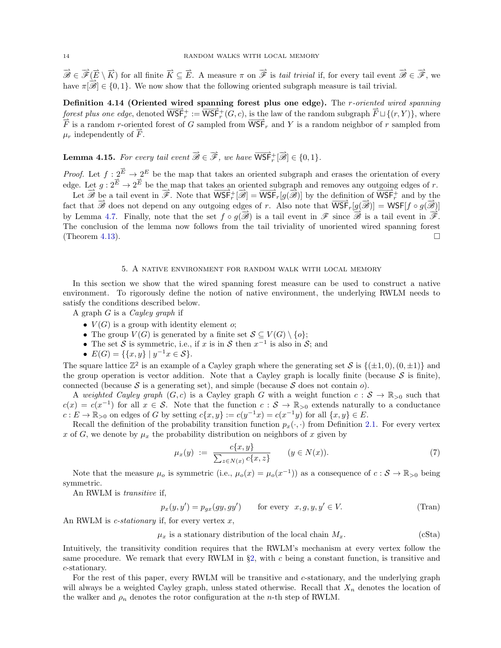$\vec{\mathscr{B}} \in \vec{\mathscr{F}}(\vec{E} \setminus \vec{K})$  for all finite  $\vec{K} \subseteq \vec{E}$ . A measure  $\pi$  on  $\vec{\mathscr{F}}$  is tail trivial if, for every tail event  $\vec{\mathscr{B}} \in \vec{\mathscr{F}}$ , we have  $\pi[\overrightarrow{\mathscr{B}}] \in \{0, 1\}$ . We now show that the following oriented subgraph measure is tail trivial.

<span id="page-13-3"></span>Definition 4.14 (Oriented wired spanning forest plus one edge). The r-oriented wired spanning forest plus one edge, denoted  $\overline{\mathsf{WSF}}_r^+ := \overline{\mathsf{WSF}}_r^+(G,c)$ , is the law of the random subgraph  $\overrightarrow{F} \sqcup \{(r,Y)\}$ , where  $\overrightarrow{F}$  is a random r-oriented forest of G sampled from  $\overrightarrow{WSF}_r$  and Y is a random neighbor of r sampled from  $\mu_r$  independently of  $\vec{F}$ .

<span id="page-13-5"></span>**Lemma 4.15.** For every tail event  $\vec{\mathcal{B}} \in \vec{\mathcal{F}}$ , we have  $\overrightarrow{WSF}_r^+[\vec{\mathcal{B}}] \in \{0,1\}$ .

*Proof.* Let  $f: 2^{\overrightarrow{E}} \to 2^E$  be the map that takes an oriented subgraph and erases the orientation of every edge. Let  $g: 2^{\vec{E}} \to 2^{\vec{E}}$  be the map that takes an oriented subgraph and removes any outgoing edges of r.

Let  $\overrightarrow{\mathscr{B}}$  be a tail event in  $\overrightarrow{\mathscr{F}}$ . Note that  $\overrightarrow{\text{WSF}}_r^{\perp}[\overrightarrow{\mathscr{B}}] = \overrightarrow{\text{WSF}}_r^{\perp}(g(\overrightarrow{\mathscr{B}}))$  by the definition of  $\overrightarrow{\text{WSF}}_r^{\perp}$  and by the fact that  $\vec{\mathcal{B}}$  does not depend on any outgoing edges of r. Also note that  $\overline{\text{WSF}}_r[\underline{g}(\vec{\mathcal{B}})] = \text{WSF}[f \circ g(\vec{\mathcal{B}})]$ by Lemma [4.7.](#page-10-3) Finally, note that the set  $f \circ g(\overrightarrow{\mathscr{B}})$  is a tail event in  $\overrightarrow{\mathscr{F}}$  since  $\overrightarrow{\mathscr{B}}$  is a tail event in  $\overrightarrow{\mathscr{F}}$ . The conclusion of the lemma now follows from the tail triviality of unoriented wired spanning forest (Theorem [4.13\)](#page-12-2).

### 5. A native environment for random walk with local memory

<span id="page-13-2"></span>In this section we show that the wired spanning forest measure can be used to construct a native environment. To rigorously define the notion of native environment, the underlying RWLM needs to satisfy the conditions described below.

A graph G is a Cayley graph if

- $V(G)$  is a group with identity element  $o$ ;
- The group  $V(G)$  is generated by a finite set  $S \subseteq V(G) \setminus \{o\}$ ;
- The set S is symmetric, i.e., if x is in S then  $x^{-1}$  is also in S; and
- $E(G) = \{ \{x, y\} \mid y^{-1}x \in S \}.$

The square lattice  $\mathbb{Z}^2$  is an example of a Cayley graph where the generating set S is  $\{(\pm 1,0),(0,\pm 1)\}$  and the group operation is vector addition. Note that a Cayley graph is locally finite (because  $S$  is finite), connected (because S is a generating set), and simple (because S does not contain  $o$ ).

A weighted Cayley graph  $(G, c)$  is a Cayley graph G with a weight function  $c : \mathcal{S} \to \mathbb{R}_{>0}$  such that  $c(x) = c(x^{-1})$  for all  $x \in S$ . Note that the function  $c : S \to \mathbb{R}_{\geq 0}$  extends naturally to a conductance  $c: E \to \mathbb{R}_{>0}$  on edges of G by setting  $c\{x, y\} := c(y^{-1}x) = c(x^{-1}y)$  for all  $\{x, y\} \in E$ .

Recall the definition of the probability transition function  $p_x(\cdot, \cdot)$  from Definition [2.1.](#page-4-1) For every vertex x of G, we denote by  $\mu_x$  the probability distribution on neighbors of x given by

<span id="page-13-6"></span><span id="page-13-0"></span>
$$
\mu_x(y) := \frac{c\{x, y\}}{\sum_{z \in N(x)} c\{x, z\}} \qquad (y \in N(x)). \tag{7}
$$

Note that the measure  $\mu_o$  is symmetric (i.e.,  $\mu_o(x) = \mu_o(x^{-1})$ ) as a consequence of  $c : S \to \mathbb{R}_{>0}$  being symmetric.

An RWLM is transitive if,

<span id="page-13-4"></span><span id="page-13-1"></span>
$$
p_x(y, y') = p_{gx}(gy, gy') \qquad \text{for every} \ \ x, g, y, y' \in V. \tag{Tran}
$$

An RWLM is *c*-stationary if, for every vertex  $x$ ,

 $\mu_x$  is a stationary distribution of the local chain  $M_x$ . (cSta)

Intuitively, the transitivity condition requires that the RWLM's mechanism at every vertex follow the same procedure. We remark that every RWLM in §[2,](#page-4-0) with c being a constant function, is transitive and c-stationary.

For the rest of this paper, every RWLM will be transitive and c-stationary, and the underlying graph will always be a weighted Cayley graph, unless stated otherwise. Recall that  $X_n$  denotes the location of the walker and  $\rho_n$  denotes the rotor configuration at the *n*-th step of RWLM.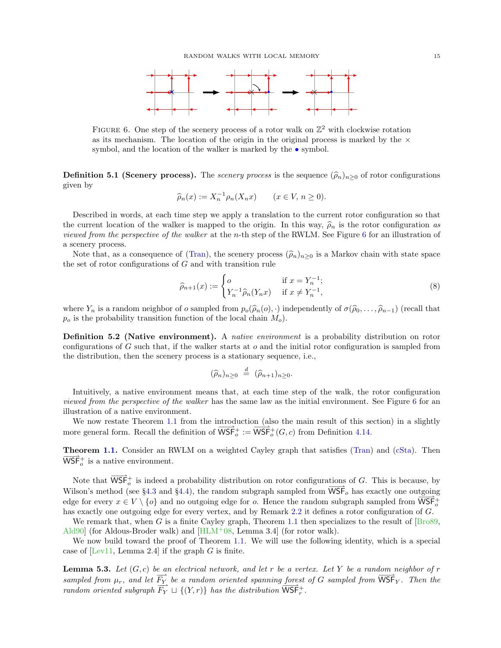

<span id="page-14-1"></span>FIGURE 6. One step of the scenery process of a rotor walk on  $\mathbb{Z}^2$  with clockwise rotation as its mechanism. The location of the origin in the original process is marked by the  $\times$ symbol, and the location of the walker is marked by the  $\bullet$  symbol.

<span id="page-14-3"></span>**Definition 5.1 (Scenery process).** The *scenery process* is the sequence  $(\hat{\rho}_n)_{n\geq 0}$  of rotor configurations given by

$$
\widehat{\rho}_n(x) := X_n^{-1} \rho_n(X_n x) \qquad (x \in V, n \ge 0).
$$

Described in words, at each time step we apply a translation to the current rotor configuration so that the current location of the walker is mapped to the origin. In this way,  $\hat{\rho}_n$  is the rotor configuration as viewed from the perspective of the walker at the n-th step of the RWLM. See Figure [6](#page-14-1) for an illustration of a scenery process.

Note that, as a consequence of [\(Tran\)](#page-13-0), the scenery process  $(\hat{\rho}_n)_{n\geq 0}$  is a Markov chain with state space the set of rotor configurations of  $G$  and with transition rule

$$
\widehat{\rho}_{n+1}(x) := \begin{cases}\n o & \text{if } x = Y_n^{-1}; \\
Y_n^{-1} \widehat{\rho}_n(Y_n x) & \text{if } x \neq Y_n^{-1},\n\end{cases}
$$
\n(8)

where  $Y_n$  is a random neighbor of o sampled from  $p_o(\widehat{\rho}_n(o), \cdot)$  independently of  $\sigma(\widehat{\rho}_0, \ldots, \widehat{\rho}_{n-1})$  (recall that  $p_o$  is the probability transition function of the local chain  $M_o$ ).

<span id="page-14-0"></span>Definition 5.2 (Native environment). A *native environment* is a probability distribution on rotor configurations of G such that, if the walker starts at o and the initial rotor configuration is sampled from the distribution, then the scenery process is a stationary sequence, i.e.,

$$
(\widehat{\rho}_n)_{n\geq 0} \stackrel{d}{=} (\widehat{\rho}_{n+1})_{n\geq 0}.
$$

Intuitively, a native environment means that, at each time step of the walk, the rotor configuration viewed from the perspective of the walker has the same law as the initial environment. See Figure [6](#page-14-1) for an illustration of a native environment.

We now restate Theorem [1.1](#page-1-1) from the introduction (also the main result of this section) in a slightly more general form. Recall the definition of  $\overrightarrow{WSF}^+_{o} := \overrightarrow{WSF}^+_{o}(G, c)$  from Definition [4.14.](#page-13-3)

**Theorem [1.1.](#page-1-1)** Consider an RWLM on a weighted Cayley graph that satisfies [\(Tran\)](#page-13-0) and [\(cSta\)](#page-13-1). Then  $\overrightarrow{\text{WSF}}_{o}^{+}$  is a native environment.

Note that  $\overrightarrow{WSF}^+_{o}$  is indeed a probability distribution on rotor configurations of G. This is because, by Wilson's method (see §[4.3](#page-10-0) and §[4.4\)](#page-11-0), the random subgraph sampled from  $\overline{\text{WSF}}_o$  has exactly one outgoing edge for every  $x \in V \setminus \{o\}$  and no outgoing edge for *o*. Hence the random subgraph sampled from  $\overline{WSF}^+_{o}$ has exactly one outgoing edge for every vertex, and by Remark [2.2](#page-4-4) it defines a rotor configuration of G.

We remark that, when G is a finite Cayley graph, Theorem [1.1](#page-14-0) then specializes to the result of  $\left[\text{Bro89},\text{ } \right]$ [Ald90\]](#page-19-12) (for Aldous-Broder walk) and  $[HLM^+08,$  Lemma 3.4] (for rotor walk).

We now build toward the proof of Theorem [1.1.](#page-14-0) We will use the following identity, which is a special case of  $[Lev11, Lemma 2.4]$  if the graph G is finite.

<span id="page-14-2"></span>**Lemma 5.3.** Let  $(G, c)$  be an electrical network, and let r be a vertex. Let Y be a random neighbor of r sampled from  $\mu_r$ , and let  $\overrightarrow{F_Y}$  be a random oriented spanning forest of G sampled from  $\overrightarrow{WSF}_Y$ . Then the random oriented subgraph  $\overrightarrow{F_Y} \sqcup \{(Y,r)\}\$  has the distribution  $\overrightarrow{\text{WSF}}_r^+$ .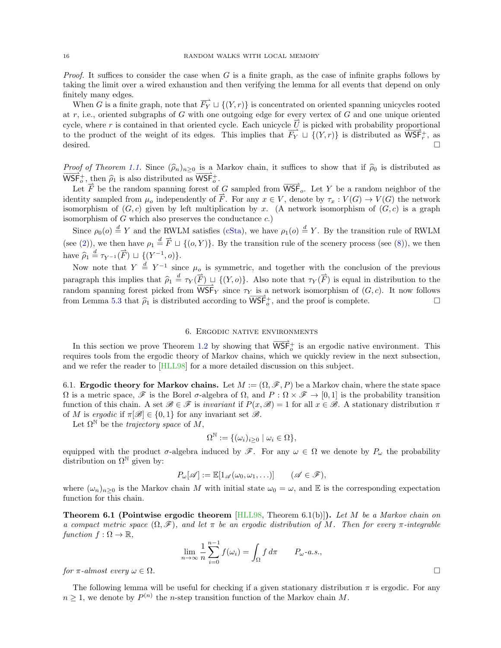*Proof.* It suffices to consider the case when G is a finite graph, as the case of infinite graphs follows by taking the limit over a wired exhaustion and then verifying the lemma for all events that depend on only finitely many edges.

When G is a finite graph, note that  $\overrightarrow{F_Y} \sqcup \{(Y,r)\}$  is concentrated on oriented spanning unicycles rooted at  $r$ , i.e., oriented subgraphs of  $G$  with one outgoing edge for every vertex of  $G$  and one unique oriented cycle, where r is contained in that oriented cycle. Each unicycle  $\overrightarrow{U}$  is picked with probability proportional to the product of the weight of its edges. This implies that  $\overline{F_Y} \sqcup \{(Y,r)\}$  is distributed as  $\overline{\text{WSF}}_r^+$ , as desired.  $\square$ 

*Proof of Theorem [1.1.](#page-14-0)* Since  $(\hat{\rho}_n)_{n>0}$  is a Markov chain, it suffices to show that if  $\hat{\rho}_0$  is distributed as  $\overline{\text{WSF}}_{o}^{+}$ , then  $\hat{\rho}_1$  is also distributed as  $\overline{\text{WSF}}_{o}^{+}$ .

Let  $\overrightarrow{F}$  be the random spanning forest of G sampled from  $\overrightarrow{WSF}_{o}$ . Let Y be a random neighbor of the identity sampled from  $\mu_o$  independently of  $\overrightarrow{F}$ . For any  $x \in V$ , denote by  $\tau_x : V(G) \to V(G)$  the network isomorphism of  $(G, c)$  given by left multiplication by x. (A network isomorphism of  $(G, c)$  is a graph isomorphism of  $G$  which also preserves the conductance  $c$ .)

Since  $\rho_0(o) \stackrel{d}{=} Y$  and the RWLM satisfies [\(cSta\)](#page-13-1), we have  $\rho_1(o) \stackrel{d}{=} Y$ . By the transition rule of RWLM (see [\(2\)](#page-4-2)), we then have  $\rho_1 \stackrel{d}{=} \vec{F} \sqcup \{(o, Y)\}\.$  By the transition rule of the scenery process (see [\(8\)](#page-13-4)), we then have  $\widehat{\rho}_1 \stackrel{d}{=} \tau_{Y^{-1}}(\overrightarrow{F}) \sqcup \{(Y^{-1}, o)\}.$ 

Now note that  $Y = Y^{-1}$  since  $\mu_0$  is symmetric, and together with the conclusion of the previous paragraph this implies that  $\widehat{\rho}_1 \stackrel{d}{=} \tau_Y(\overrightarrow{F}) \sqcup \{(Y, o)\}\)$ . Also note that  $\tau_Y(\overrightarrow{F})$  is equal in distribution to the random spanning forest picked from  $\overrightarrow{WSF}_Y$  since  $\tau_Y$  is a network isomorphism of  $(G, c)$ . It now follows from Lemma [5.3](#page-14-2) that  $\rho_1$  is distributed according to  $\overrightarrow{\text{WSF}}_o^+$ , and the proof is complete.  $\Box$ 

#### 6. Ergodic native environments

<span id="page-15-0"></span>In this section we prove Theorem [1.2](#page-1-2) by showing that  $\overrightarrow{WSF}^+_{o}$  is an ergodic native environment. This requires tools from the ergodic theory of Markov chains, which we quickly review in the next subsection, and we refer the reader to [\[HLL98\]](#page-19-17) for a more detailed discussion on this subject.

6.1. Ergodic theory for Markov chains. Let  $M := (\Omega, \mathscr{F}, P)$  be a Markov chain, where the state space  $\Omega$  is a metric space,  $\mathscr F$  is the Borel  $\sigma$ -algebra of  $\Omega$ , and  $P : \Omega \times \mathscr F \to [0,1]$  is the probability transition function of this chain. A set  $\mathscr{B} \in \mathscr{F}$  is *invariant* if  $P(x, \mathscr{B}) = 1$  for all  $x \in \mathscr{B}$ . A stationary distribution  $\pi$ of M is ergodic if  $\pi[\mathscr{B}] \in \{0,1\}$  for any invariant set  $\mathscr{B}$ .

Let  $\Omega^{\mathbb{N}}$  be the *trajectory space* of M,

$$
\Omega^{\mathbb{N}}:=\{(\omega_i)_{i\geq 0} \mid \omega_i \in \Omega\},\
$$

equipped with the product  $\sigma$ -algebra induced by  $\mathscr{F}$ . For any  $\omega \in \Omega$  we denote by  $P_{\omega}$  the probability distribution on  $\Omega^{\mathbb{N}}$  given by:

$$
P_{\omega}[\mathscr{A}] := \mathbb{E}[1_{\mathscr{A}}(\omega_0, \omega_1, \ldots)] \qquad (\mathscr{A} \in \mathscr{F}),
$$

where  $(\omega_n)_{n\geq 0}$  is the Markov chain M with initial state  $\omega_0 = \omega$ , and E is the corresponding expectation function for this chain.

<span id="page-15-1"></span>**Theorem 6.1 (Pointwise ergodic theorem** [\[HLL98,](#page-19-17) Theorem 6.1(b)]). Let M be a Markov chain on a compact metric space  $(\Omega, \mathscr{F})$ , and let  $\pi$  be an ergodic distribution of M. Then for every  $\pi$ -integrable function  $f : \Omega \to \mathbb{R}$ ,

$$
\lim_{n \to \infty} \frac{1}{n} \sum_{i=0}^{n-1} f(\omega_i) = \int_{\Omega} f d\pi \qquad P_{\omega} \text{-} a.s.,
$$

for  $\pi$ -almost every  $\omega \in \Omega$ .

The following lemma will be useful for checking if a given stationary distribution  $\pi$  is ergodic. For any  $n \geq 1$ , we denote by  $P^{(n)}$  the *n*-step transition function of the Markov chain M.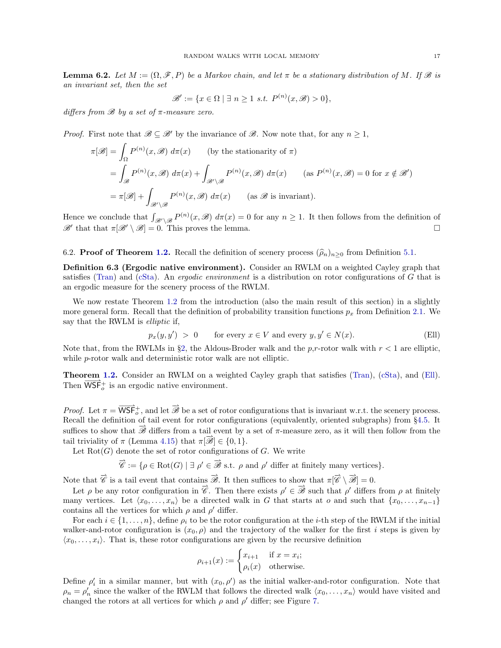<span id="page-16-3"></span>**Lemma 6.2.** Let  $M := (\Omega, \mathcal{F}, P)$  be a Markov chain, and let  $\pi$  be a stationary distribution of M. If  $\mathcal{B}$  is an invariant set, then the set

$$
\mathscr{B}' := \{ x \in \Omega \mid \exists n \ge 1 \ s.t. \ P^{(n)}(x, \mathscr{B}) > 0 \},
$$

differs from  $\mathscr B$  by a set of  $\pi$ -measure zero.

*Proof.* First note that  $\mathscr{B} \subseteq \mathscr{B}'$  by the invariance of  $\mathscr{B}$ . Now note that, for any  $n \geq 1$ ,

$$
\pi[\mathscr{B}] = \int_{\Omega} P^{(n)}(x, \mathscr{B}) d\pi(x) \qquad \text{(by the stationarity of } \pi\text{)}
$$
\n
$$
= \int_{\mathscr{B}} P^{(n)}(x, \mathscr{B}) d\pi(x) + \int_{\mathscr{B}' \backslash \mathscr{B}} P^{(n)}(x, \mathscr{B}) d\pi(x) \qquad \text{(as } P^{(n)}(x, \mathscr{B}) = 0 \text{ for } x \notin \mathscr{B}'\text{)}
$$
\n
$$
= \pi[\mathscr{B}] + \int_{\mathscr{B}' \backslash \mathscr{B}} P^{(n)}(x, \mathscr{B}) d\pi(x) \qquad \text{(as } \mathscr{B} \text{ is invariant)}.
$$

Hence we conclude that  $\int_{\mathscr{B}'\backslash\mathscr{B}} P^{(n)}(x,\mathscr{B}) d\pi(x) = 0$  for any  $n \geq 1$ . It then follows from the definition of  $\mathscr{B}'$  that that  $\pi[\mathscr{B}' \setminus \mathscr{B}] = 0$ . This proves the lemma.

### <span id="page-16-2"></span>6.2. **Proof of Theorem [1.2.](#page-1-2)** Recall the definition of scenery process  $(\hat{\rho}_n)_{n>0}$  from Definition [5.1.](#page-14-3)

<span id="page-16-0"></span>Definition 6.3 (Ergodic native environment). Consider an RWLM on a weighted Cayley graph that satisfies [\(Tran\)](#page-13-0) and [\(cSta\)](#page-13-1). An ergodic environment is a distribution on rotor configurations of G that is an ergodic measure for the scenery process of the RWLM.

We now restate Theorem [1.2](#page-1-2) from the introduction (also the main result of this section) in a slightly more general form. Recall that the definition of probability transition functions  $p_x$  from Definition [2.1.](#page-4-1) We say that the RWLM is elliptic if,

<span id="page-16-1"></span>
$$
p_x(y, y') > 0 \qquad \text{for every } x \in V \text{ and every } y, y' \in N(x). \tag{Ell}
$$

Note that, from the RWLMs in §[2,](#page-4-0) the Aldous-Broder walk and the p,r-rotor walk with  $r < 1$  are elliptic, while *p*-rotor walk and deterministic rotor walk are not elliptic.

Theorem [1.2.](#page-1-2) Consider an RWLM on a weighted Cayley graph that satisfies [\(Tran\)](#page-13-0), [\(cSta\)](#page-13-1), and [\(Ell\)](#page-16-1). Then  $\overrightarrow{WSF}^+_{o}$  is an ergodic native environment.

*Proof.* Let  $\pi = \overrightarrow{WSF}^+_{o}$ , and let  $\overrightarrow{\mathscr{B}}$  be a set of rotor configurations that is invariant w.r.t. the scenery process. Recall the definition of tail event for rotor configurations (equivalently, oriented subgraphs) from §[4.5.](#page-12-3) It suffices to show that  $\overrightarrow{\mathscr{B}}$  differs from a tail event by a set of  $\pi$ -measure zero, as it will then follow from the tail triviality of  $\pi$  (Lemma [4.15\)](#page-13-5) that  $\pi[\overrightarrow{\mathscr{B}}] \in \{0, 1\}.$ 

Let  $Rot(G)$  denote the set of rotor configurations of G. We write

$$
\overrightarrow{\mathscr{C}} := \{ \rho \in \text{Rot}(G) \mid \exists \rho' \in \overrightarrow{\mathscr{B}} \text{ s.t. } \rho \text{ and } \rho' \text{ differ at finitely many vertices} \}.
$$

Note that  $\vec{\mathscr{C}}$  is a tail event that contains  $\vec{\mathscr{B}}$ . It then suffices to show that  $\pi[\vec{\mathscr{C}} \setminus \vec{\mathscr{B}}] = 0$ .

Let  $\rho$  be any rotor configuration in  $\vec{\mathscr{C}}$ . Then there exists  $\rho' \in \vec{\mathscr{B}}$  such that  $\rho'$  differs from  $\rho$  at finitely many vertices. Let  $\langle x_0, \ldots, x_n \rangle$  be a directed walk in G that starts at o and such that  $\{x_0, \ldots, x_{n-1}\}$ contains all the vertices for which  $\rho$  and  $\rho'$  differ.

For each  $i \in \{1, \ldots, n\}$ , define  $\rho_i$  to be the rotor configuration at the *i*-th step of the RWLM if the initial walker-and-rotor configuration is  $(x_0, \rho)$  and the trajectory of the walker for the first i steps is given by  $\langle x_0, \ldots, x_i \rangle$ . That is, these rotor configurations are given by the recursive definition

$$
\rho_{i+1}(x) := \begin{cases} x_{i+1} & \text{if } x = x_i; \\ \rho_i(x) & \text{otherwise.} \end{cases}
$$

Define  $\rho'_i$  in a similar manner, but with  $(x_0, \rho')$  as the initial walker-and-rotor configuration. Note that  $\rho_n = \rho'_n$  since the walker of the RWLM that follows the directed walk  $\langle x_0, \ldots, x_n \rangle$  would have visited and changed the rotors at all vertices for which  $\rho$  and  $\rho'$  differ; see Figure [7.](#page-17-1)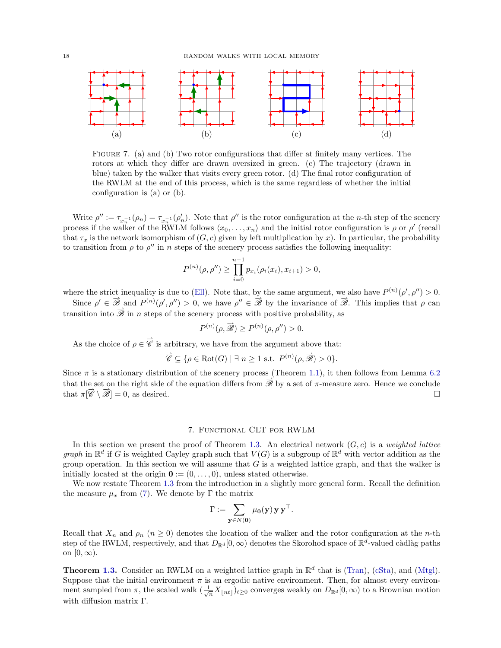

<span id="page-17-1"></span>Figure 7. (a) and (b) Two rotor configurations that differ at finitely many vertices. The rotors at which they differ are drawn oversized in green. (c) The trajectory (drawn in blue) taken by the walker that visits every green rotor. (d) The final rotor configuration of the RWLM at the end of this process, which is the same regardless of whether the initial configuration is (a) or (b).

Write  $\rho'' := \tau_{x_n^{-1}}(\rho_n) = \tau_{x_n^{-1}}(\rho'_n)$ . Note that  $\rho''$  is the rotor configuration at the *n*-th step of the scenery process if the walker of the RWLM follows  $\langle x_0, \ldots, x_n \rangle$  and the initial rotor configuration is  $\rho$  or  $\rho'$  (recall that  $\tau_x$  is the network isomorphism of  $(G, c)$  given by left multiplication by x). In particular, the probability to transition from  $\rho$  to  $\rho''$  in n steps of the scenery process satisfies the following inequality:

$$
P^{(n)}(\rho, \rho'') \ge \prod_{i=0}^{n-1} p_{x_i}(\rho_i(x_i), x_{i+1}) > 0,
$$

where the strict inequality is due to [\(Ell\)](#page-16-1). Note that, by the same argument, we also have  $P^{(n)}(\rho', \rho'') > 0$ .

Since  $\rho' \in \mathbb{Z}$  and  $P^{(n)}(\rho', \rho'') > 0$ , we have  $\rho'' \in \mathbb{Z}$  by the invariance of  $\mathbb{Z}$ . This implies that  $\rho$  can transition into  $\overrightarrow{\mathscr{B}}$  in n steps of the scenery process with positive probability, as

$$
P^{(n)}(\rho, \overrightarrow{\mathscr{B}}) \ge P^{(n)}(\rho, \rho'') > 0.
$$

As the choice of  $\rho \in \mathscr{C}$  is arbitrary, we have from the argument above that:

$$
\overrightarrow{\mathscr{C}} \subseteq \{ \rho \in \text{Rot}(G) \mid \exists n \ge 1 \text{ s.t. } P^{(n)}(\rho, \overrightarrow{\mathscr{B}}) > 0 \}.
$$

Since  $\pi$  is a stationary distribution of the scenery process (Theorem [1.1\)](#page-14-0), it then follows from Lemma [6.2](#page-16-3) that the set on the right side of the equation differs from  $\overrightarrow{\mathscr{B}}$  by a set of  $\pi$ -measure zero. Hence we conclude that  $\pi[\vec{\mathscr{C}} \setminus \vec{\mathscr{B}}] = 0$ , as desired.

### 7. Functional CLT for RWLM

<span id="page-17-0"></span>In this section we present the proof of Theorem [1.3.](#page-1-0) An electrical network  $(G, c)$  is a weighted lattice graph in  $\mathbb{R}^d$  if G is weighted Cayley graph such that  $V(G)$  is a subgroup of  $\mathbb{R}^d$  with vector addition as the group operation. In this section we will assume that  $G$  is a weighted lattice graph, and that the walker is initially located at the origin  $\mathbf{0} := (0, \ldots, 0)$ , unless stated otherwise.

We now restate Theorem [1.3](#page-1-0) from the introduction in a slightly more general form. Recall the definition the measure  $\mu_x$  from [\(7\)](#page-13-6). We denote by Γ the matrix

$$
\Gamma := \sum_{\mathbf{y} \in N(\mathbf{0})} \mu_{\mathbf{0}}(\mathbf{y}) \mathbf{y} \mathbf{y}^{\top}.
$$

Recall that  $X_n$  and  $\rho_n$   $(n \geq 0)$  denotes the location of the walker and the rotor configuration at the n-th step of the RWLM, respectively, and that  $D_{\mathbb{R}^d}[0,\infty)$  denotes the Skorohod space of  $\mathbb{R}^d$ -valued càdlàg paths on  $[0, \infty)$ .

**Theorem [1.3.](#page-1-0)** Consider an RWLM on a weighted lattice graph in  $\mathbb{R}^d$  that is [\(Tran\)](#page-13-0), [\(cSta\)](#page-13-1), and [\(Mtgl\)](#page-7-0). Suppose that the initial environment  $\pi$  is an ergodic native environment. Then, for almost every environment sampled from  $\pi$ , the scaled walk  $(\frac{1}{\sqrt{n}}X_{\lfloor nt \rfloor})_{t\geq 0}$  converges weakly on  $D_{\mathbb{R}^d}[0,\infty)$  to a Brownian motion with diffusion matrix Γ.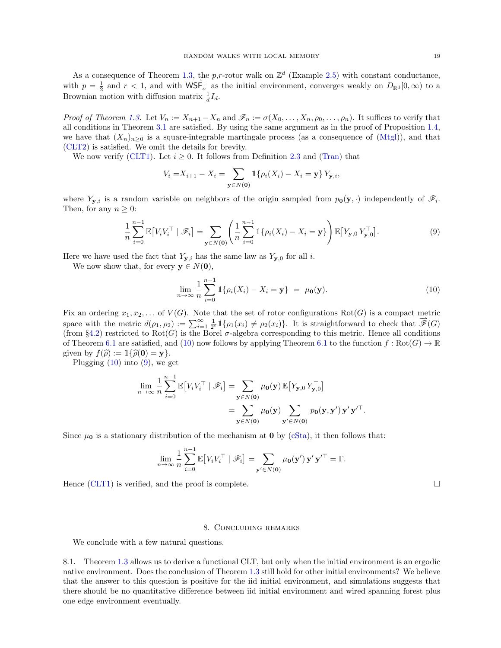As a consequence of Theorem [1.3,](#page-17-0) the p,r-rotor walk on  $\mathbb{Z}^d$  (Example [2.5\)](#page-5-3) with constant conductance, with  $p = \frac{1}{2}$  and  $r < 1$ , and with  $\overrightarrow{WSF}^+_{\sigma}$  as the initial environment, converges weakly on  $D_{\mathbb{R}^d}[0,\infty)$  to a Brownian motion with diffusion matrix  $\frac{1}{d}I_d$ .

Proof of Theorem [1.3.](#page-17-0) Let  $V_n := X_{n+1} - X_n$  and  $\mathscr{F}_n := \sigma(X_0, \ldots, X_n, \rho_0, \ldots, \rho_n)$ . It suffices to verify that all conditions in Theorem [3.1](#page-6-4) are satisfied. By using the same argument as in the proof of Proposition [1.4,](#page-7-1) we have that  $(X_n)_{n\geq 0}$  is a square-integrable martingale process (as a consequence of [\(Mtgl\)](#page-7-0)), and that [\(CLT2\)](#page-6-6) is satisfied. We omit the details for brevity.

We now verify [\(CLT1\)](#page-6-5). Let  $i \geq 0$ . It follows from Definition [2.3](#page-4-3) and [\(Tran\)](#page-13-0) that

$$
V_i = X_{i+1} - X_i = \sum_{\mathbf{y} \in N(\mathbf{0})} \mathbb{1}\{\rho_i(X_i) - X_i = \mathbf{y}\} Y_{\mathbf{y},i},
$$

where  $Y_{\mathbf{y},i}$  is a random variable on neighbors of the origin sampled from  $p_{\mathbf{0}}(\mathbf{y},\cdot)$  independently of  $\mathscr{F}_i$ . Then, for any  $n \geq 0$ :

$$
\frac{1}{n}\sum_{i=0}^{n-1}\mathbb{E}\left[V_iV_i^\top \mid \mathscr{F}_i\right] = \sum_{\mathbf{y}\in N(\mathbf{0})} \left(\frac{1}{n}\sum_{i=0}^{n-1} \mathbb{1}\{\rho_i(X_i) - X_i = \mathbf{y}\}\right) \mathbb{E}\left[Y_{\mathbf{y},0}Y_{\mathbf{y},0}^\top\right].\tag{9}
$$

Here we have used the fact that  $Y_{y,i}$  has the same law as  $Y_{y,0}$  for all i.

We now show that, for every  $y \in N(0)$ ,

<span id="page-18-1"></span>
$$
\lim_{n \to \infty} \frac{1}{n} \sum_{i=0}^{n-1} 1\{\rho_i(X_i) - X_i = \mathbf{y}\} = \mu_0(\mathbf{y}).
$$
\n(10)

Fix an ordering  $x_1, x_2, \ldots$  of  $V(G)$ . Note that the set of rotor configurations  $Rot(G)$  is a compact metric space with the metric  $d(\rho_1, \rho_2) := \sum_{i=1}^{\infty} \frac{1}{2^i} \mathbb{1}\{\rho_1(x_i) \neq \rho_2(x_i)\}\.$  It is straightforward to check that  $\overline{\mathscr{F}}(G)$ (from §[4.2\)](#page-9-0) restricted to  $Rot(G)$  is the Borel  $\sigma$ -algebra corresponding to this metric. Hence all conditions of Theorem [6.1](#page-15-1) are satisfied, and [\(10\)](#page-18-1) now follows by applying Theorem 6.1 to the function  $f : \text{Rot}(G) \to \mathbb{R}$ given by  $f(\hat{\rho}) := \mathbb{1}\{\hat{\rho}(\mathbf{0}) = \mathbf{y}\}.$ 

Plugging  $(10)$  into  $(9)$ , we get

$$
\lim_{n \to \infty} \frac{1}{n} \sum_{i=0}^{n-1} \mathbb{E}\big[V_i V_i^{\top} \mid \mathscr{F}_i\big] = \sum_{\mathbf{y} \in N(\mathbf{0})} \mu_{\mathbf{0}}(\mathbf{y}) \mathbb{E}\big[Y_{\mathbf{y},0} Y_{\mathbf{y},0}^{\top}\big] \n= \sum_{\mathbf{y} \in N(\mathbf{0})} \mu_{\mathbf{0}}(\mathbf{y}) \sum_{\mathbf{y}' \in N(\mathbf{0})} p_{\mathbf{0}}(\mathbf{y}, \mathbf{y}') \mathbf{y}' \mathbf{y}'^{\top}.
$$

Since  $\mu_0$  is a stationary distribution of the mechanism at **0** by [\(cSta\)](#page-13-1), it then follows that:

$$
\lim_{n \to \infty} \frac{1}{n} \sum_{i=0}^{n-1} \mathbb{E}\big[V_i V_i^{\top} \mid \mathscr{F}_i\big] = \sum_{\mathbf{y}' \in N(\mathbf{0})} \mu_{\mathbf{0}}(\mathbf{y}') \mathbf{y}' \mathbf{y}'^{\top} = \Gamma.
$$

Hence [\(CLT1\)](#page-6-5) is verified, and the proof is complete.  $\Box$ 

### 8. Concluding remarks

<span id="page-18-0"></span>We conclude with a few natural questions.

8.1. Theorem [1.3](#page-1-0) allows us to derive a functional CLT, but only when the initial environment is an ergodic native environment. Does the conclusion of Theorem [1.3](#page-1-0) still hold for other initial environments? We believe that the answer to this question is positive for the iid initial environment, and simulations suggests that there should be no quantitative difference between iid initial environment and wired spanning forest plus one edge environment eventually.

<span id="page-18-2"></span>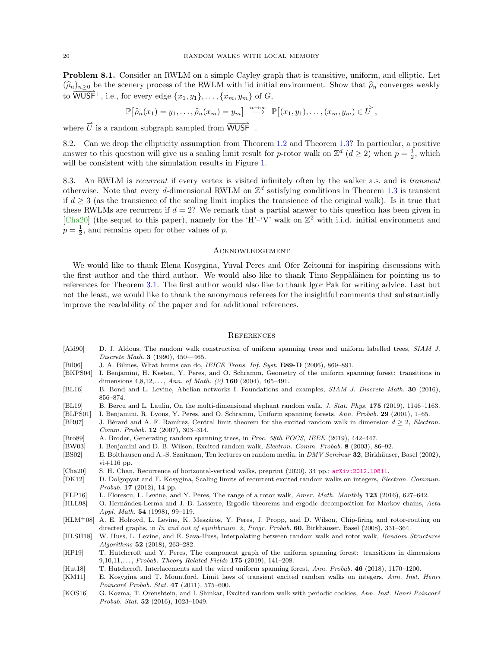Problem 8.1. Consider an RWLM on a simple Cayley graph that is transitive, uniform, and elliptic. Let  $(\widehat{\rho}_n)_{n>0}$  be the scenery process of the RWLM with iid initial environment. Show that  $\widehat{\rho}_n$  converges weakly to  $\overline{\text{WUSF}}^+$ , i.e., for every edge  $\{x_1, y_1\}, \ldots, \{x_m, y_m\}$  of G,

$$
\mathbb{P}\big[\widehat{\rho}_n(x_1)=y_1,\ldots,\widehat{\rho}_n(x_m)=y_m\big] \stackrel{n\to\infty}{\longrightarrow} \mathbb{P}\big[(x_1,y_1),\ldots,(x_m,y_m)\in\overrightarrow{U}\big],
$$

where  $\vec{U}$  is a random subgraph sampled from  $\overline{\text{WUSF}}$ <sup>+</sup>.

<span id="page-19-1"></span>8.2. Can we drop the ellipticity assumption from Theorem [1.2](#page-1-2) and Theorem [1.3?](#page-1-0) In particular, a positive answer to this question will give us a scaling limit result for p-rotor walk on  $\mathbb{Z}^d$   $(d \geq 2)$  when  $p = \frac{1}{2}$ , which will be consistent with the simulation results in Figure [1.](#page-3-0)

8.3. An RWLM is recurrent if every vertex is visited infinitely often by the walker a.s. and is transient otherwise. Note that every d-dimensional RWLM on  $\mathbb{Z}^d$  satisfying conditions in Theorem [1.3](#page-1-0) is transient if  $d \geq 3$  (as the transience of the scaling limit implies the transience of the original walk). Is it true that these RWLMs are recurrent if  $d = 2$ ? We remark that a partial answer to this question has been given in [\[Cha20\]](#page-19-18) (the sequel to this paper), namely for the 'H'–'V' walk on  $\mathbb{Z}^2$  with i.i.d. initial environment and  $p = \frac{1}{2}$ , and remains open for other values of p.

### **ACKNOWLEDGEMENT**

We would like to thank Elena Kosygina, Yuval Peres and Ofer Zeitouni for inspiring discussions with the first author and the third author. We would also like to thank Timo Seppäläinen for pointing us to references for Theorem [3.1.](#page-6-4) The first author would also like to thank Igor Pak for writing advice. Last but not the least, we would like to thank the anonymous referees for the insightful comments that substantially improve the readability of the paper and for additional references.

#### **REFERENCES**

- <span id="page-19-12"></span>[Ald90] D. J. Aldous, The random walk construction of uniform spanning trees and uniform labelled trees, SIAM J. Discrete Math. 3 (1990), 450—465.
- <span id="page-19-19"></span>[Bil06] J. A. Bilmes, What hmms can do, *IEICE Trans. Inf. Syst.* **E89-D** (2006), 869-891.
- <span id="page-19-14"></span>[BKPS04] I. Benjamini, H. Kesten, Y. Peres, and O. Schramm, Geometry of the uniform spanning forest: transitions in dimensions  $4,8,12,..., Ann. of Math. (2) 160 (2004), 465-491.$
- <span id="page-19-11"></span>[BL16] B. Bond and L. Levine, Abelian networks I. Foundations and examples, SIAM J. Discrete Math. 30 (2016), 856–874.
- <span id="page-19-9"></span>[BL19] B. Bercu and L. Laulin, On the multi-dimensional elephant random walk, J. Stat. Phys. 175 (2019), 1146-1163.
- <span id="page-19-0"></span>[BLPS01] I. Benjamini, R. Lyons, Y. Peres, and O. Schramm, Uniform spanning forests, Ann. Probab. 29 (2001), 1–65.
- <span id="page-19-8"></span>[BR07] J. Bérard and A. F. Ramírez, Central limit theorem for the excited random walk in dimension  $d \geq 2$ , Electron. Comm. Probab. 12 (2007), 303–314.
- <span id="page-19-13"></span>[Bro89] A. Broder, Generating random spanning trees, in Proc. 58th FOCS, IEEE (2019), 442–447.
- <span id="page-19-10"></span><span id="page-19-4"></span>[BW03] I. Benjamini and D. B. Wilson, Excited random walk, *Electron. Comm. Probab.* 8 (2003), 86–92. [BS02] E. Bolthausen and A.-S. Sznitman, Ten lectures on random media, in DMV Seminar 32, Birkhäuser, Basel (2002),
- $vi+116$  pp.
- <span id="page-19-18"></span>[Cha20] S. H. Chan, Recurrence of horizontal-vertical walks, preprint (2020), 34 pp.; [arXiv:2012.10811](https://arxiv.org/abs/2012.10811).
- <span id="page-19-6"></span>[DK12] D. Dolgopyat and E. Kosygina, Scaling limits of recurrent excited random walks on integers, Electron. Commun. Probab. 17 (2012), 14 pp.
- <span id="page-19-3"></span>[FLP16] L. Florescu, L. Levine, and Y. Peres, The range of a rotor walk, Amer. Math. Monthly 123 (2016), 627–642.
- <span id="page-19-17"></span>[HLL98] O. Hernández-Lerma and J. B. Lasserre, Ergodic theorems and ergodic decomposition for Markov chains, Acta Appl. Math. 54 (1998), 99–119.
- <span id="page-19-2"></span>[HLM<sup>+</sup>08] A. E. Holroyd, L. Levine, K. Meszáros, Y. Peres, J. Propp, and D. Wilson, Chip-firing and rotor-routing on directed graphs, in In and out of equilibrium. 2, Progr. Probab. 60, Birkhäuser, Basel (2008), 331–364.
- <span id="page-19-7"></span>[HLSH18] W. Huss, L. Levine, and E. Sava-Huss, Interpolating between random walk and rotor walk, Random Structures Algorithms 52 (2018), 263–282.
- <span id="page-19-15"></span>[HP19] T. Hutchcroft and Y. Peres, The component graph of the uniform spanning forest: transitions in dimensions  $9,10,11,...,$  Probab. Theory Related Fields 175 (2019), 141–208.
- <span id="page-19-16"></span>[Hut18] T. Hutchcroft, Interlacements and the wired uniform spanning forest, Ann. Probab. 46 (2018), 1170–1200.
- <span id="page-19-5"></span>[KM11] E. Kosygina and T. Mountford, Limit laws of transient excited random walks on integers, Ann. Inst. Henri Poincaré Probab. Stat.  $47$  (2011), 575–600.
- [KOS16] G. Kozma, T. Orenshtein, and I. Shinkar, Excited random walk with periodic cookies, Ann. Inst. Henri Poincaré Probab. Stat. 52 (2016), 1023–1049.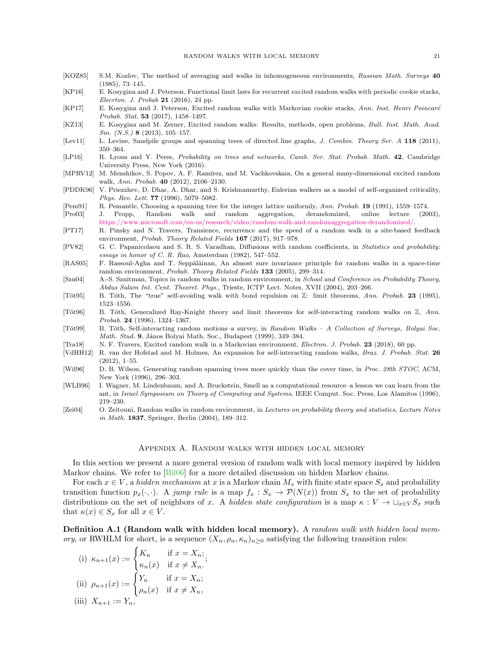- <span id="page-20-16"></span>[KOZ85] S.M. Kozlov, The method of averaging and walks in inhomogeneous environments, Russian Math. Surveys 40 (1985), 73–145.
- <span id="page-20-10"></span>[KP16] E. Kosygina and J. Peterson, Functional limit laws for recurrent excited random walks with periodic cookie stacks, Elecrton. J. Probab 21 (2016), 24 pp.
- <span id="page-20-2"></span>[KP17] E. Kosygina and J. Peterson, Excited random walks with Markovian cookie stacks, Ann. Inst. Henri Poincaré Probab. Stat. 53 (2017), 1458–1497.
- <span id="page-20-13"></span>[KZ13] E. Kosygina and M. Zerner, Excited random walks: Results, methods, open problems, Bull. Inst. Math. Acad.  $Sin. (N.S.)$  8 (2013), 105-157.
- <span id="page-20-22"></span>[Lev11] L. Levine, Sandpile groups and spanning trees of directed line graphs, J. Combin. Theory Ser. A 118 (2011), 350–364.
- <span id="page-20-19"></span>[LP16] R. Lyons and Y. Peres, Probability on trees and networks, Camb. Ser. Stat. Probab. Math. 42, Cambridge University Press, New York (2016).
- <span id="page-20-12"></span>[MPRV12] M. Menshikov, S. Popov, A. F. Ramírez, and M. Vachkovskaia, On a general many-dimensional excited random walk, Ann. Probab. 40 (2012), 2106–2130.
- <span id="page-20-8"></span>[PDDK96] V. Priezzhev, D. Dhar, A. Dhar, and S. Krishnamurthy, Eulerian walkers as a model of self-organized criticality, Phys. Rev. Lett. **77** (1996), 5079-5082.
- <span id="page-20-21"></span>[Pem91] R. Pemantle, Choosing a spanning tree for the integer lattice uniformly, Ann. Probab. 19 (1991), 1559–1574.
- <span id="page-20-9"></span>[Pro03] J. Propp, Random walk and random aggregation, derandomized, online lecture (2003), [https://www.microsoft.com/en-us/research/video/random-walk-and-randomaggregation-derandomized/.](https://www.microsoft.com/en-us/research/video/random-walk-and-randomaggregation-derandomized/)
- <span id="page-20-1"></span>[PT17] R. Pinsky and N. Travers, Transience, recurrence and the speed of a random walk in a site-based feedback environment, Probab. Theory Related Fields 167 (2017), 917–978.
- <span id="page-20-17"></span>[PV82] G. C. Papanicolaou and S. R. S. Varadhan, Diffusions with random coefficients, in Statistics and probability: essays in honor of C. R. Rao, Amsterdam (1982), 547–552.
- <span id="page-20-18"></span>[RAS05] F. Rassoul-Agha and T. Seppäläinan, An almost sure invariance principle for random walks in a space-time random environment, Probab. Theory Related Fields 133 (2005), 299–314.
- <span id="page-20-6"></span>[Szn04] A.-S. Sznitman, Topics in random walks in random environment, in School and Conference on Probability Theory, Abdus Salam Int. Cent. Theoret. Phys., Trieste, ICTP Lect. Notes, XVII (2004), 203–266.
- <span id="page-20-14"></span>[Tôt95] B. Tôth, The "true" self-avoiding walk with bond repulsion on Z: limit theorems, Ann. Probab. 23 (1995), 1523–1556.
- <span id="page-20-15"></span>[Tôt96] B. Tôth, Generalized Ray-Knight theory and limit theorems for self-interacting random walks on  $\mathbb{Z}$ , Ann. Probab. 24 (1996), 1324–1367.
- <span id="page-20-4"></span>[Tót99] B. Tóth, Self-interacting random motions–a survey, in Random Walks – A Collection of Surveys, Bolyai Soc. Math. Stud. 9, János Bolyai Math. Soc., Budapest (1999), 349-384.
- <span id="page-20-3"></span>[Tra18] N. F. Travers, Excited random walk in a Markovian environment, Electron. J. Probab. 23 (2018), 60 pp.
- <span id="page-20-11"></span>[VdHH12] R. van der Hofstad and M. Holmes, An expansion for self-interacting random walks, Braz. J. Probab. Stat. 26 (2012), 1–55.
- <span id="page-20-20"></span>[Wil96] D. B. Wilson, Generating random spanning trees more quickly than the cover time, in Proc. 28th STOC, ACM, New York (1996), 296–303.
- <span id="page-20-7"></span>[WLB96] I. Wagner, M. Lindenbaum, and A. Bruckstein, Smell as a computational resource–a lesson we can learn from the ant, in Israel Symposium on Theory of Computing and Systems, IEEE Comput. Soc. Press, Los Alamitos (1996), 219–230.
- <span id="page-20-5"></span>[Zei04] O. Zeitouni, Random walks in random environment, in Lectures on probability theory and statistics, Lecture Notes in Math. 1837, Springer, Berlin (2004), 189–312.

#### Appendix A. Random walks with hidden local memory

<span id="page-20-0"></span>In this section we present a more general version of random walk with local memory inspired by hidden Markov chains. We refer to [\[Bil06\]](#page-19-19) for a more detailed discussion on hidden Markov chains.

For each  $x \in V$ , a hidden mechanism at x is a Markov chain  $M_x$  with finite state space  $S_x$  and probability transition function  $p_x(\cdot, \cdot)$ . A jump rule is a map  $f_x : S_x \to \mathcal{P}(N(x))$  from  $S_x$  to the set of probability distributions on the set of neighbors of x. A hidden state configuration is a map  $\kappa: V \to \sqcup_{x \in V} S_x$  such that  $\kappa(x) \in S_x$  for all  $x \in V$ .

**Definition A.1 (Random walk with hidden local memory).** A random walk with hidden local memory, or RWHLM for short, is a sequence  $(X_n, \rho_n, \kappa_n)_{n\geq 0}$  satisfying the following transition rules:

(i) 
$$
\kappa_{n+1}(x) := \begin{cases} K_n & \text{if } x = X_n; \\ \kappa_n(x) & \text{if } x \neq X_n. \end{cases}
$$
  
\n(ii)  $\rho_{n+1}(x) := \begin{cases} Y_n & \text{if } x = X_n; \\ \rho_n(x) & \text{if } x \neq X_n, \end{cases}$   
\n(iii)  $X_{n+1} := Y_n$ ,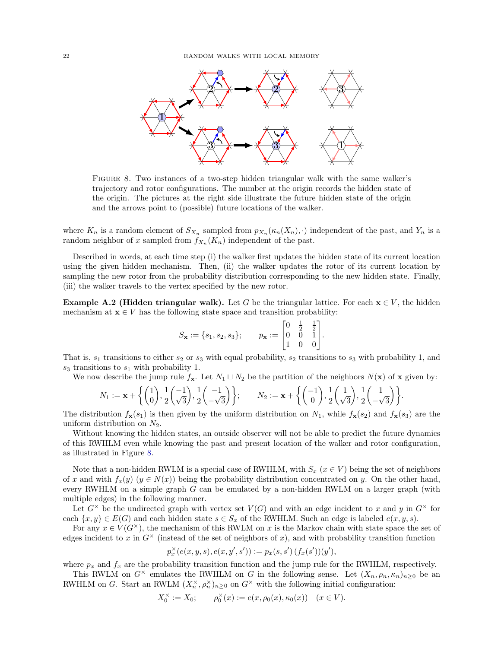

<span id="page-21-0"></span>Figure 8. Two instances of a two-step hidden triangular walk with the same walker's trajectory and rotor configurations. The number at the origin records the hidden state of the origin. The pictures at the right side illustrate the future hidden state of the origin and the arrows point to (possible) future locations of the walker.

where  $K_n$  is a random element of  $S_{X_n}$  sampled from  $p_{X_n}(\kappa_n(X_n), \cdot)$  independent of the past, and  $Y_n$  is a random neighbor of x sampled from  $f_{X_n}(K_n)$  independent of the past.

Described in words, at each time step (i) the walker first updates the hidden state of its current location using the given hidden mechanism. Then, (ii) the walker updates the rotor of its current location by sampling the new rotor from the probability distribution corresponding to the new hidden state. Finally, (iii) the walker travels to the vertex specified by the new rotor.

<span id="page-21-1"></span>**Example A.2 (Hidden triangular walk).** Let G be the triangular lattice. For each  $x \in V$ , the hidden mechanism at  $\mathbf{x} \in V$  has the following state space and transition probability:

$$
S_{\mathbf{x}} := \{s_1, s_2, s_3\}; \qquad p_{\mathbf{x}} := \begin{bmatrix} 0 & \frac{1}{2} & \frac{1}{2} \\ 0 & 0 & 1 \\ 1 & 0 & 0 \end{bmatrix}.
$$

That is,  $s_1$  transitions to either  $s_2$  or  $s_3$  with equal probability,  $s_2$  transitions to  $s_3$  with probability 1, and  $s_3$  transitions to  $s_1$  with probability 1.

We now describe the jump rule  $f_{\mathbf{x}}$ . Let  $N_1 \sqcup N_2$  be the partition of the neighbors  $N(\mathbf{x})$  of  $\mathbf{x}$  given by:

$$
N_1 := \mathbf{x} + \left\{ \begin{pmatrix} 1 \\ 0 \end{pmatrix}, \frac{1}{2} \begin{pmatrix} -1 \\ \sqrt{3} \end{pmatrix}, \frac{1}{2} \begin{pmatrix} -1 \\ -\sqrt{3} \end{pmatrix} \right\}; \qquad N_2 := \mathbf{x} + \left\{ \begin{pmatrix} -1 \\ 0 \end{pmatrix}, \frac{1}{2} \begin{pmatrix} 1 \\ \sqrt{3} \end{pmatrix}, \frac{1}{2} \begin{pmatrix} 1 \\ -\sqrt{3} \end{pmatrix} \right\}.
$$

The distribution  $f_{\mathbf{x}}(s_1)$  is then given by the uniform distribution on  $N_1$ , while  $f_{\mathbf{x}}(s_2)$  and  $f_{\mathbf{x}}(s_3)$  are the uniform distribution on  $N_2$ .

Without knowing the hidden states, an outside observer will not be able to predict the future dynamics of this RWHLM even while knowing the past and present location of the walker and rotor configuration, as illustrated in Figure [8.](#page-21-0)

Note that a non-hidden RWLM is a special case of RWHLM, with  $S_x$  ( $x \in V$ ) being the set of neighbors of x and with  $f_x(y)$   $(y \in N(x))$  being the probability distribution concentrated on y. On the other hand, every RWHLM on a simple graph  $G$  can be emulated by a non-hidden RWLM on a larger graph (with multiple edges) in the following manner.

Let  $G^{\times}$  be the undirected graph with vertex set  $V(G)$  and with an edge incident to x and y in  $G^{\times}$  for each  $\{x, y\} \in E(G)$  and each hidden state  $s \in S_x$  of the RWHLM. Such an edge is labeled  $e(x, y, s)$ .

For any  $x \in V(G^{\times})$ , the mechanism of this RWLM on x is the Markov chain with state space the set of edges incident to x in  $G^{\times}$  (instead of the set of neighbors of x), and with probability transition function

$$
p_x^{\times}(e(x,y,s),e(x,y',s')):=p_x(s,s')\,(f_x(s'))(y'),
$$

where  $p_x$  and  $f_x$  are the probability transition function and the jump rule for the RWHLM, respectively.

This RWLM on  $G^{\times}$  emulates the RWHLM on G in the following sense. Let  $(X_n, \rho_n, \kappa_n)_{n>0}$  be an RWHLM on G. Start an RWLM  $(X_n^{\times}, \rho_n^{\times})_{n \geq 0}$  on  $G^{\times}$  with the following initial configuration:

$$
X_0^{\times} := X_0; \qquad \rho_0^{\times}(x) := e(x, \rho_0(x), \kappa_0(x)) \quad (x \in V).
$$